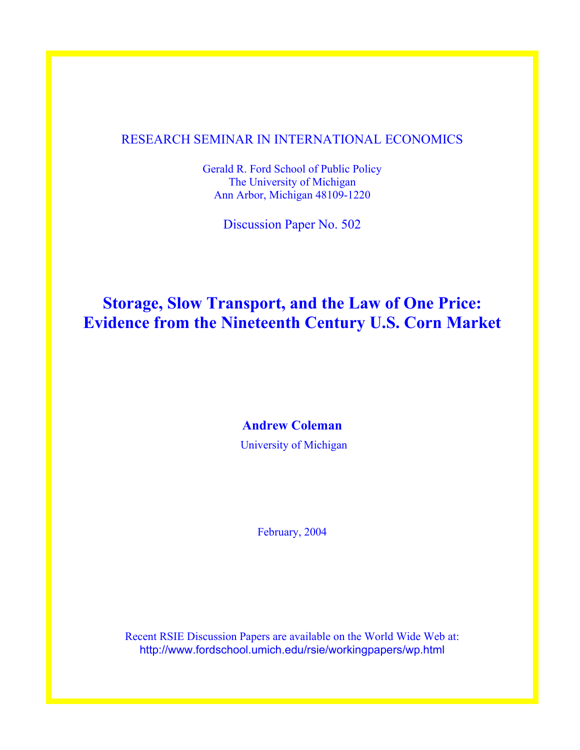### RESEARCH SEMINAR IN INTERNATIONAL ECONOMICS

Gerald R. Ford School of Public Policy The University of Michigan Ann Arbor, Michigan 48109-1220

Discussion Paper No. 502

# **Storage, Slow Transport, and the Law of One Price: Evidence from the Nineteenth Century U.S. Corn Market**

**Andrew Coleman** 

University of Michigan

February, 2004

Recent RSIE Discussion Papers are available on the World Wide Web at: http://www.fordschool.umich.edu/rsie/workingpapers/wp.html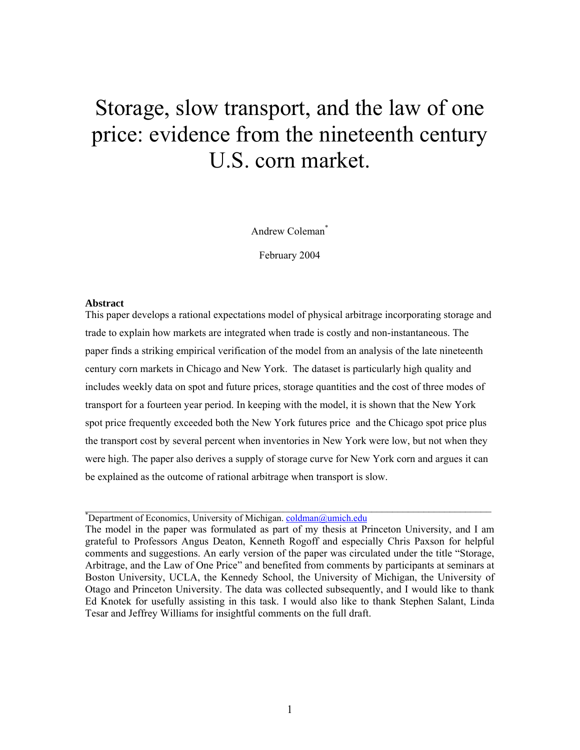# Storage, slow transport, and the law of one price: evidence from the nineteenth century U.S. corn market.

Andrew Coleman\*

February 2004

#### **Abstract**

This paper develops a rational expectations model of physical arbitrage incorporating storage and trade to explain how markets are integrated when trade is costly and non-instantaneous. The paper finds a striking empirical verification of the model from an analysis of the late nineteenth century corn markets in Chicago and New York. The dataset is particularly high quality and includes weekly data on spot and future prices, storage quantities and the cost of three modes of transport for a fourteen year period. In keeping with the model, it is shown that the New York spot price frequently exceeded both the New York futures price and the Chicago spot price plus the transport cost by several percent when inventories in New York were low, but not when they were high. The paper also derives a supply of storage curve for New York corn and argues it can be explained as the outcome of rational arbitrage when transport is slow.

\*Department of Economics, University of Michigan. [coldman@umich.edu](mailto:coldman@umich.edu)

The model in the paper was formulated as part of my thesis at Princeton University, and I am grateful to Professors Angus Deaton, Kenneth Rogoff and especially Chris Paxson for helpful comments and suggestions. An early version of the paper was circulated under the title "Storage, Arbitrage, and the Law of One Price" and benefited from comments by participants at seminars at Boston University, UCLA, the Kennedy School, the University of Michigan, the University of Otago and Princeton University. The data was collected subsequently, and I would like to thank Ed Knotek for usefully assisting in this task. I would also like to thank Stephen Salant, Linda Tesar and Jeffrey Williams for insightful comments on the full draft.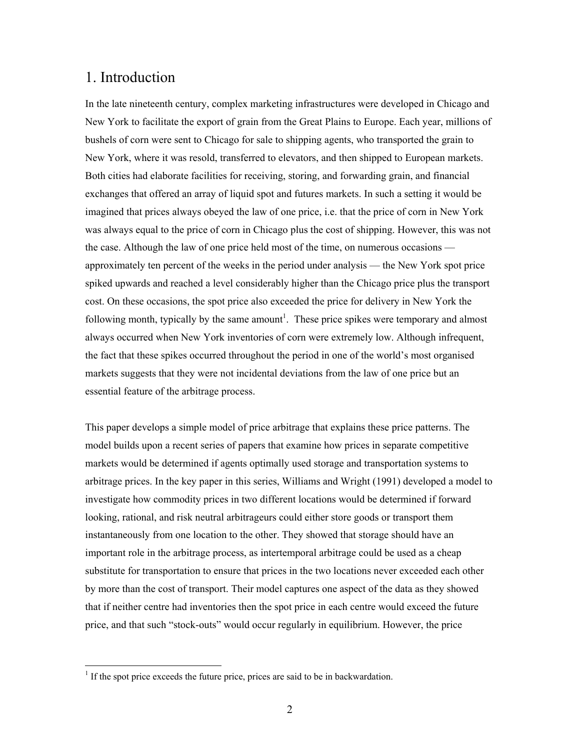# 1. Introduction

In the late nineteenth century, complex marketing infrastructures were developed in Chicago and New York to facilitate the export of grain from the Great Plains to Europe. Each year, millions of bushels of corn were sent to Chicago for sale to shipping agents, who transported the grain to New York, where it was resold, transferred to elevators, and then shipped to European markets. Both cities had elaborate facilities for receiving, storing, and forwarding grain, and financial exchanges that offered an array of liquid spot and futures markets. In such a setting it would be imagined that prices always obeyed the law of one price, i.e. that the price of corn in New York was always equal to the price of corn in Chicago plus the cost of shipping. However, this was not the case. Although the law of one price held most of the time, on numerous occasions approximately ten percent of the weeks in the period under analysis — the New York spot price spiked upwards and reached a level considerably higher than the Chicago price plus the transport cost. On these occasions, the spot price also exceeded the price for delivery in New York the following month, typically by the same amount<sup>[1](#page-2-0)</sup>. These price spikes were temporary and almost always occurred when New York inventories of corn were extremely low. Although infrequent, the fact that these spikes occurred throughout the period in one of the world's most organised markets suggests that they were not incidental deviations from the law of one price but an essential feature of the arbitrage process.

This paper develops a simple model of price arbitrage that explains these price patterns. The model builds upon a recent series of papers that examine how prices in separate competitive markets would be determined if agents optimally used storage and transportation systems to arbitrage prices. In the key paper in this series, Williams and Wright (1991) developed a model to investigate how commodity prices in two different locations would be determined if forward looking, rational, and risk neutral arbitrageurs could either store goods or transport them instantaneously from one location to the other. They showed that storage should have an important role in the arbitrage process, as intertemporal arbitrage could be used as a cheap substitute for transportation to ensure that prices in the two locations never exceeded each other by more than the cost of transport. Their model captures one aspect of the data as they showed that if neither centre had inventories then the spot price in each centre would exceed the future price, and that such "stock-outs" would occur regularly in equilibrium. However, the price

<span id="page-2-0"></span><sup>&</sup>lt;sup>1</sup> If the spot price exceeds the future price, prices are said to be in backwardation.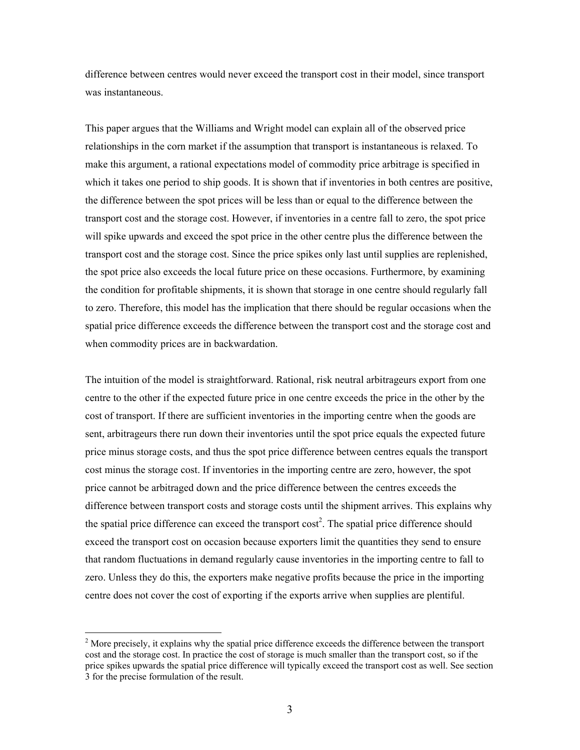difference between centres would never exceed the transport cost in their model, since transport was instantaneous.

This paper argues that the Williams and Wright model can explain all of the observed price relationships in the corn market if the assumption that transport is instantaneous is relaxed. To make this argument, a rational expectations model of commodity price arbitrage is specified in which it takes one period to ship goods. It is shown that if inventories in both centres are positive, the difference between the spot prices will be less than or equal to the difference between the transport cost and the storage cost. However, if inventories in a centre fall to zero, the spot price will spike upwards and exceed the spot price in the other centre plus the difference between the transport cost and the storage cost. Since the price spikes only last until supplies are replenished, the spot price also exceeds the local future price on these occasions. Furthermore, by examining the condition for profitable shipments, it is shown that storage in one centre should regularly fall to zero. Therefore, this model has the implication that there should be regular occasions when the spatial price difference exceeds the difference between the transport cost and the storage cost and when commodity prices are in backwardation.

The intuition of the model is straightforward. Rational, risk neutral arbitrageurs export from one centre to the other if the expected future price in one centre exceeds the price in the other by the cost of transport. If there are sufficient inventories in the importing centre when the goods are sent, arbitrageurs there run down their inventories until the spot price equals the expected future price minus storage costs, and thus the spot price difference between centres equals the transport cost minus the storage cost. If inventories in the importing centre are zero, however, the spot price cannot be arbitraged down and the price difference between the centres exceeds the difference between transport costs and storage costs until the shipment arrives. This explains why the spatial price difference can exceed the transport  $\cos t^2$  $\cos t^2$ . The spatial price difference should exceed the transport cost on occasion because exporters limit the quantities they send to ensure that random fluctuations in demand regularly cause inventories in the importing centre to fall to zero. Unless they do this, the exporters make negative profits because the price in the importing centre does not cover the cost of exporting if the exports arrive when supplies are plentiful.

 $\overline{a}$ 

<span id="page-3-0"></span> $2^{2}$  More precisely, it explains why the spatial price difference exceeds the difference between the transport cost and the storage cost. In practice the cost of storage is much smaller than the transport cost, so if the price spikes upwards the spatial price difference will typically exceed the transport cost as well. See section 3 for the precise formulation of the result.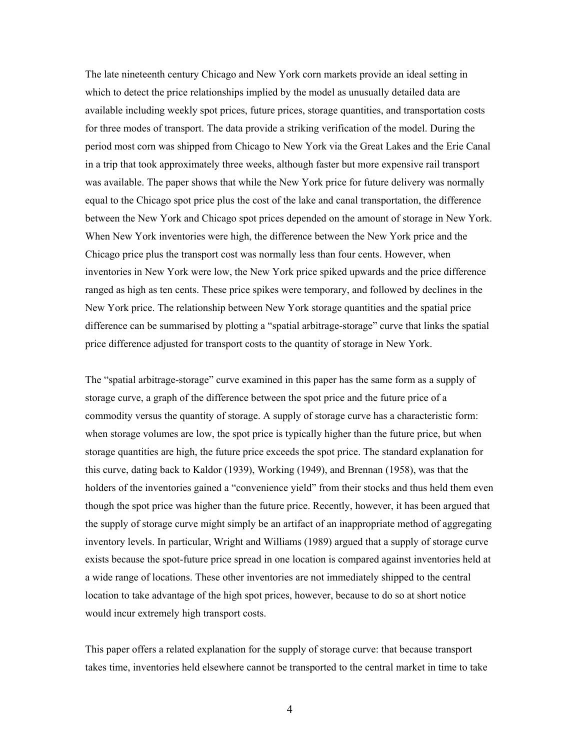The late nineteenth century Chicago and New York corn markets provide an ideal setting in which to detect the price relationships implied by the model as unusually detailed data are available including weekly spot prices, future prices, storage quantities, and transportation costs for three modes of transport. The data provide a striking verification of the model. During the period most corn was shipped from Chicago to New York via the Great Lakes and the Erie Canal in a trip that took approximately three weeks, although faster but more expensive rail transport was available. The paper shows that while the New York price for future delivery was normally equal to the Chicago spot price plus the cost of the lake and canal transportation, the difference between the New York and Chicago spot prices depended on the amount of storage in New York. When New York inventories were high, the difference between the New York price and the Chicago price plus the transport cost was normally less than four cents. However, when inventories in New York were low, the New York price spiked upwards and the price difference ranged as high as ten cents. These price spikes were temporary, and followed by declines in the New York price. The relationship between New York storage quantities and the spatial price difference can be summarised by plotting a "spatial arbitrage-storage" curve that links the spatial price difference adjusted for transport costs to the quantity of storage in New York.

The "spatial arbitrage-storage" curve examined in this paper has the same form as a supply of storage curve, a graph of the difference between the spot price and the future price of a commodity versus the quantity of storage. A supply of storage curve has a characteristic form: when storage volumes are low, the spot price is typically higher than the future price, but when storage quantities are high, the future price exceeds the spot price. The standard explanation for this curve, dating back to Kaldor (1939), Working (1949), and Brennan (1958), was that the holders of the inventories gained a "convenience yield" from their stocks and thus held them even though the spot price was higher than the future price. Recently, however, it has been argued that the supply of storage curve might simply be an artifact of an inappropriate method of aggregating inventory levels. In particular, Wright and Williams (1989) argued that a supply of storage curve exists because the spot-future price spread in one location is compared against inventories held at a wide range of locations. These other inventories are not immediately shipped to the central location to take advantage of the high spot prices, however, because to do so at short notice would incur extremely high transport costs.

This paper offers a related explanation for the supply of storage curve: that because transport takes time, inventories held elsewhere cannot be transported to the central market in time to take

4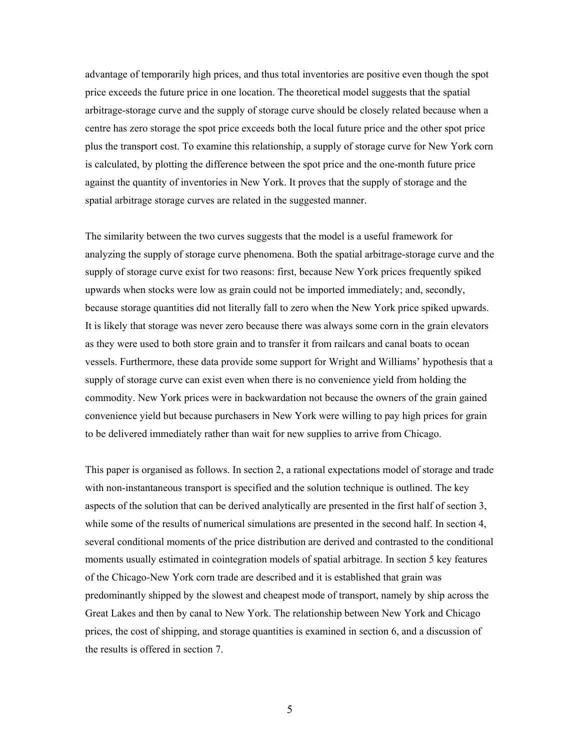advantage of temporarily high prices, and thus total inventories are positive even though the spot price exceeds the future price in one location. The theoretical model suggests that the spatial arbitrage-storage curve and the supply of storage curve should be closely related because when a centre has zero storage the spot price exceeds both the local future price and the other spot price plus the transport cost. To examine this relationship, a supply of storage curve for New York corn is calculated, by plotting the difference between the spot price and the one-month future price against the quantity of inventories in New York. It proves that the supply of storage and the spatial arbitrage storage curves are related in the suggested manner.

The similarity between the two curves suggests that the model is a useful framework for analyzing the supply of storage curve phenomena. Both the spatial arbitrage-storage curve and the supply of storage curve exist for two reasons: first, because New York prices frequently spiked upwards when stocks were low as grain could not be imported immediately; and, secondly, because storage quantities did not literally fall to zero when the New York price spiked upwards. It is likely that storage was never zero because there was always some corn in the grain elevators as they were used to both store grain and to transfer it from railcars and canal boats to ocean vessels. Furthermore, these data provide some support for Wright and Williams' hypothesis that a supply of storage curve can exist even when there is no convenience yield from holding the commodity. New York prices were in backwardation not because the owners of the grain gained convenience yield but because purchasers in New York were willing to pay high prices for grain to be delivered immediately rather than wait for new supplies to arrive from Chicago.

This paper is organised as follows. In section 2, a rational expectations model of storage and trade with non-instantaneous transport is specified and the solution technique is outlined. The key aspects of the solution that can be derived analytically are presented in the first half of section 3, while some of the results of numerical simulations are presented in the second half. In section 4, several conditional moments of the price distribution are derived and contrasted to the conditional moments usually estimated in cointegration models of spatial arbitrage. In section 5 key features of the Chicago-New York corn trade are described and it is established that grain was predominantly shipped by the slowest and cheapest mode of transport, namely by ship across the Great Lakes and then by canal to New York. The relationship between New York and Chicago prices, the cost of shipping, and storage quantities is examined in section 6, and a discussion of the results is offered in section 7.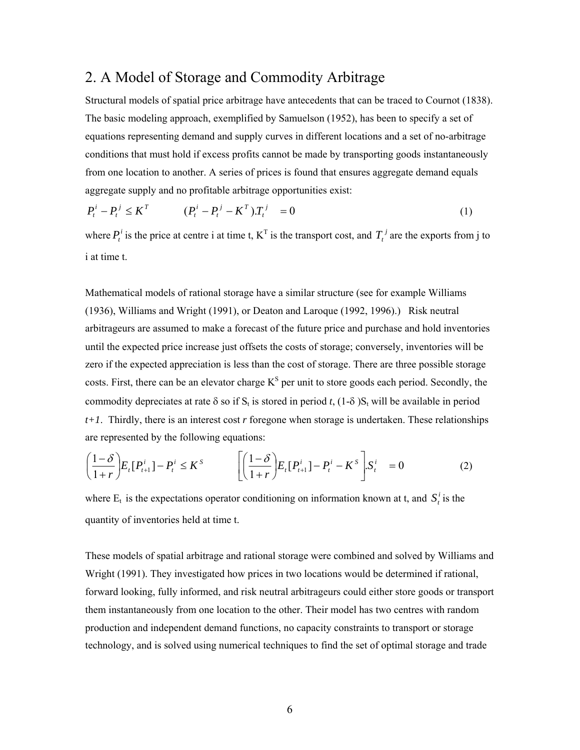# 2. A Model of Storage and Commodity Arbitrage

Structural models of spatial price arbitrage have antecedents that can be traced to Cournot (1838). The basic modeling approach, exemplified by Samuelson (1952), has been to specify a set of equations representing demand and supply curves in different locations and a set of no-arbitrage conditions that must hold if excess profits cannot be made by transporting goods instantaneously from one location to another. A series of prices is found that ensures aggregate demand equals aggregate supply and no profitable arbitrage opportunities exist:

$$
P_t^i - P_t^j \le K^T \qquad (P_t^i - P_t^j - K^T) T_t^j = 0 \qquad (1)
$$

where  $P_t^i$  is the price at centre i at time t,  $K^T$  is the transport cost, and  $T_t^j$  are the exports from j to i at time t.

Mathematical models of rational storage have a similar structure (see for example Williams (1936), Williams and Wright (1991), or Deaton and Laroque (1992, 1996).) Risk neutral arbitrageurs are assumed to make a forecast of the future price and purchase and hold inventories until the expected price increase just offsets the costs of storage; conversely, inventories will be zero if the expected appreciation is less than the cost of storage. There are three possible storage costs. First, there can be an elevator charge  $K^S$  per unit to store goods each period. Secondly, the commodity depreciates at rate  $\delta$  so if  $S_t$  is stored in period *t*, (1- $\delta$ ) $S_t$  will be available in period *t+1*. Thirdly, there is an interest cost *r* foregone when storage is undertaken. These relationships are represented by the following equations:

$$
\left(\frac{1-\delta}{1+r}\right)E_t[P_{t+1}^i]-P_t^i\leq K^s\qquad\left[\left(\frac{1-\delta}{1+r}\right)E_t[P_{t+1}^i]-P_t^i-K^s\right]S_t^i=0\tag{2}
$$

where  $E_t$  is the expectations operator conditioning on information known at t, and  $S_t^i$  is the quantity of inventories held at time t.

These models of spatial arbitrage and rational storage were combined and solved by Williams and Wright (1991). They investigated how prices in two locations would be determined if rational, forward looking, fully informed, and risk neutral arbitrageurs could either store goods or transport them instantaneously from one location to the other. Their model has two centres with random production and independent demand functions, no capacity constraints to transport or storage technology, and is solved using numerical techniques to find the set of optimal storage and trade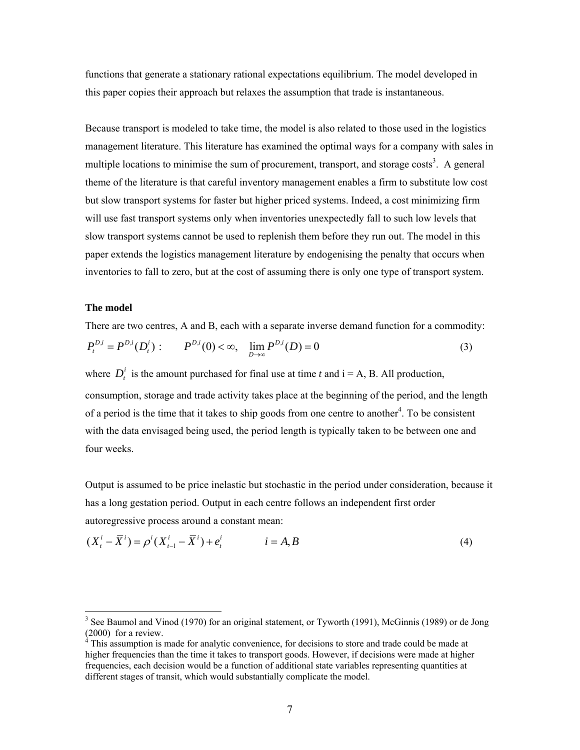functions that generate a stationary rational expectations equilibrium. The model developed in this paper copies their approach but relaxes the assumption that trade is instantaneous.

Because transport is modeled to take time, the model is also related to those used in the logistics management literature. This literature has examined the optimal ways for a company with sales in multiple locations to minimise the sum of procurement, transport, and storage costs<sup>[3](#page-7-0)</sup>. A general theme of the literature is that careful inventory management enables a firm to substitute low cost but slow transport systems for faster but higher priced systems. Indeed, a cost minimizing firm will use fast transport systems only when inventories unexpectedly fall to such low levels that slow transport systems cannot be used to replenish them before they run out. The model in this paper extends the logistics management literature by endogenising the penalty that occurs when inventories to fall to zero, but at the cost of assuming there is only one type of transport system.

#### **The model**

 $\overline{a}$ 

There are two centres, A and B, each with a separate inverse demand function for a commodity:  $P_t^{D,i} = P^{D,i}(D_t^i)$ :  $P^{D,i}(0) < \infty$ ,  $\lim_{D \to \infty} P^{D,i}(D) = 0$  (3)

where  $D_t^i$  is the amount purchased for final use at time *t* and  $i = A$ , B. All production, consumption, storage and trade activity takes place at the beginning of the period, and the length of a period is the time that it takes to ship goods from one centre to another<sup>[4](#page-7-1)</sup>. To be consistent with the data envisaged being used, the period length is typically taken to be between one and four weeks.

Output is assumed to be price inelastic but stochastic in the period under consideration, because it has a long gestation period. Output in each centre follows an independent first order autoregressive process around a constant mean:

$$
(X_t^i - \overline{X}^i) = \rho^i (X_{t-1}^i - \overline{X}^i) + e_t^i \qquad i = A, B
$$
 (4)

<span id="page-7-0"></span><sup>&</sup>lt;sup>3</sup> See Baumol and Vinod (1970) for an original statement, or Tyworth (1991), McGinnis (1989) or de Jong  $(2000)$  for a review.

<span id="page-7-1"></span>This assumption is made for analytic convenience, for decisions to store and trade could be made at higher frequencies than the time it takes to transport goods. However, if decisions were made at higher frequencies, each decision would be a function of additional state variables representing quantities at different stages of transit, which would substantially complicate the model.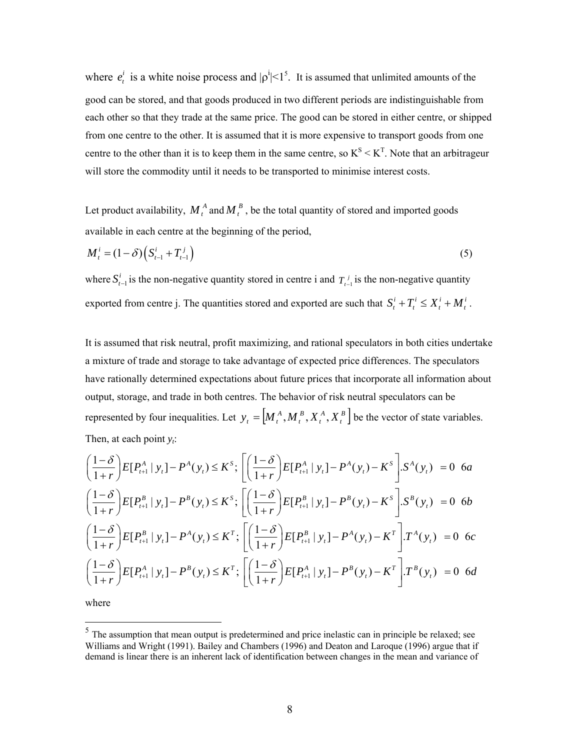where  $e_i^i$  is a white noise process and  $|\rho^i| < 1^5$ . It is assumed that unlimited amounts of the good can be stored, and that goods produced in two different periods are indistinguishable from each other so that they trade at the same price. The good can be stored in either centre, or shipped from one centre to the other. It is assumed that it is more expensive to transport goods from one centre to the other than it is to keep them in the same centre, so  $K^S < K^T$ . Note that an arbitrageur will store the commodity until it needs to be transported to minimise interest costs.

Let product availability,  $M_t^A$  and  $M_t^B$ , be the total quantity of stored and imported goods available in each centre at the beginning of the period,

$$
M_t^i = (1 - \delta) \left( S_{t-1}^i + T_{t-1}^j \right) \tag{5}
$$

where  $S_{t-1}^i$  is the non-negative quantity stored in centre i and  $T_{t-1}^j$  is the non-negative quantity exported from centre j. The quantities stored and exported are such that  $S_t^i + T_t^i \leq X_t^i + M_t^i$ .

It is assumed that risk neutral, profit maximizing, and rational speculators in both cities undertake a mixture of trade and storage to take advantage of expected price differences. The speculators have rationally determined expectations about future prices that incorporate all information about output, storage, and trade in both centres. The behavior of risk neutral speculators can be represented by four inequalities. Let  $y_t = \left[ M_t^A, M_t^B, X_t^A, X_t^B \right]$ *A t B t*  $y_t = [M_t^A, M_t^B, X_t^A, X_t^B]$  be the vector of state variables. Then, at each point  $y_i$ :

$$
\left(\frac{1-\delta}{1+r}\right)E[P_{t+1}^{A} | y_{t}] - P^{A}(y_{t}) \leq K^{s}; \left[\left(\frac{1-\delta}{1+r}\right)E[P_{t+1}^{A} | y_{t}] - P^{A}(y_{t}) - K^{s}\right] . S^{A}(y_{t}) = 0 \text{ 6a}
$$
\n
$$
\left(\frac{1-\delta}{1+r}\right)E[P_{t+1}^{B} | y_{t}] - P^{B}(y_{t}) \leq K^{s}; \left[\left(\frac{1-\delta}{1+r}\right)E[P_{t+1}^{B} | y_{t}] - P^{B}(y_{t}) - K^{s}\right] . S^{B}(y_{t}) = 0 \text{ 6b}
$$
\n
$$
\left(\frac{1-\delta}{1+r}\right)E[P_{t+1}^{B} | y_{t}] - P^{A}(y_{t}) \leq K^{T}; \left[\left(\frac{1-\delta}{1+r}\right)E[P_{t+1}^{B} | y_{t}] - P^{A}(y_{t}) - K^{T}\right] . T^{A}(y_{t}) = 0 \text{ 6c}
$$
\n
$$
\left(\frac{1-\delta}{1+r}\right)E[P_{t+1}^{A} | y_{t}] - P^{B}(y_{t}) \leq K^{T}; \left[\left(\frac{1-\delta}{1+r}\right)E[P_{t+1}^{A} | y_{t}] - P^{B}(y_{t}) - K^{T}\right] . T^{B}(y_{t}) = 0 \text{ 6d}
$$

where

 $\overline{a}$ 

<span id="page-8-0"></span> $<sup>5</sup>$  The assumption that mean output is predetermined and price inelastic can in principle be relaxed; see</sup> Williams and Wright (1991). Bailey and Chambers (1996) and Deaton and Laroque (1996) argue that if demand is linear there is an inherent lack of identification between changes in the mean and variance of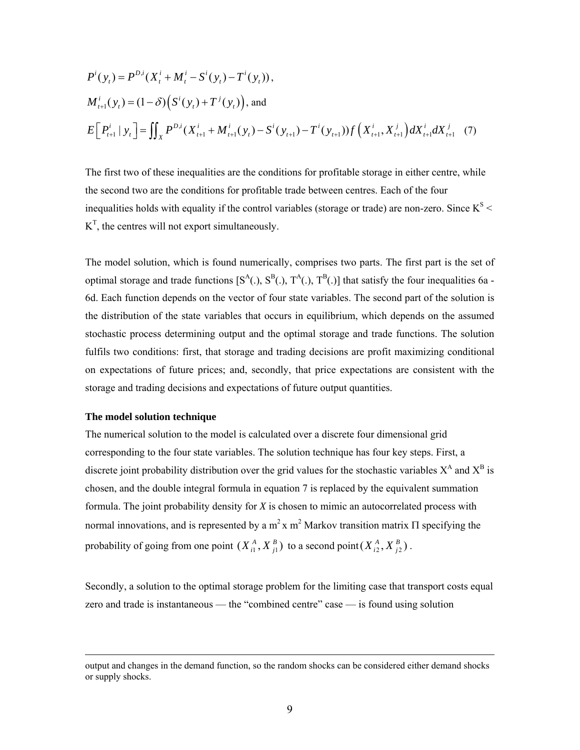$$
P^{i}(y_{t}) = P^{D,i}(X_{t}^{i} + M_{t}^{i} - S^{i}(y_{t}) - T^{i}(y_{t})),
$$
  
\n
$$
M_{t+1}^{i}(y_{t}) = (1 - \delta) (S^{i}(y_{t}) + T^{j}(y_{t})),
$$
 and  
\n
$$
E[P_{t+1}^{i} | y_{t}] = \iint_{X} P^{D,i}(X_{t+1}^{i} + M_{t+1}^{i}(y_{t}) - S^{i}(y_{t+1}) - T^{i}(y_{t+1}))f(X_{t+1}^{i}, X_{t+1}^{j})dX_{t+1}^{i}dX_{t+1}^{j} (7)
$$

The first two of these inequalities are the conditions for profitable storage in either centre, while the second two are the conditions for profitable trade between centres. Each of the four inequalities holds with equality if the control variables (storage or trade) are non-zero. Since  $K^S$  <  $K<sup>T</sup>$ , the centres will not export simultaneously.

The model solution, which is found numerically, comprises two parts. The first part is the set of optimal storage and trade functions  $[S^A(.)$ ,  $S^B(.)$ ,  $T^A(.)$ ,  $T^B(.)$ ] that satisfy the four inequalities 6a -6d. Each function depends on the vector of four state variables. The second part of the solution is the distribution of the state variables that occurs in equilibrium, which depends on the assumed stochastic process determining output and the optimal storage and trade functions. The solution fulfils two conditions: first, that storage and trading decisions are profit maximizing conditional on expectations of future prices; and, secondly, that price expectations are consistent with the storage and trading decisions and expectations of future output quantities.

#### **The model solution technique**

 $\overline{a}$ 

The numerical solution to the model is calculated over a discrete four dimensional grid corresponding to the four state variables. The solution technique has four key steps. First, a discrete joint probability distribution over the grid values for the stochastic variables  $X^A$  and  $X^B$  is chosen, and the double integral formula in equation 7 is replaced by the equivalent summation formula. The joint probability density for *X* is chosen to mimic an autocorrelated process with normal innovations, and is represented by a  $m^2$  x  $m^2$  Markov transition matrix Π specifying the probability of going from one point  $(X_{i1}^A, X_{j1}^B)$  to a second point  $(X_{i2}^A, X_{j2}^B)$ .  $X_{i1}^A, X_{j1}^B$  b to a second point  $(X_{i2}^A, X_{j2}^B)$  $X^A_{i2}, X^B_{j}$ 

Secondly, a solution to the optimal storage problem for the limiting case that transport costs equal zero and trade is instantaneous — the "combined centre" case — is found using solution

output and changes in the demand function, so the random shocks can be considered either demand shocks or supply shocks.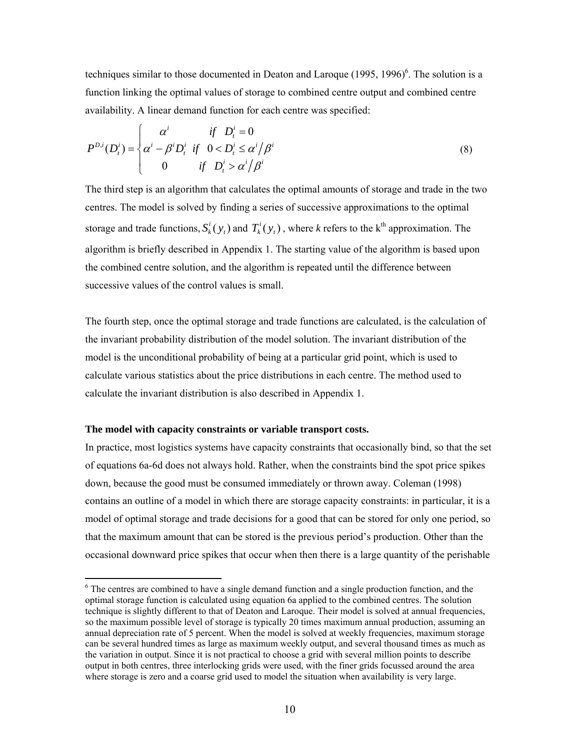techniques similar to those documented in Deaton and Laroque  $(1995, 1996)^6$ . The solution is a function linking the optimal values of storage to combined centre output and combined centre availability. A linear demand function for each centre was specified:

$$
P^{D,i}(D_t^i) = \begin{cases} \alpha^i & \text{if } D_t^i = 0\\ \alpha^i - \beta^i D_t^i & \text{if } 0 < D_t^i \le \alpha^i/\beta^i\\ 0 & \text{if } D_t^i > \alpha^i/\beta^i \end{cases}
$$
(8)

The third step is an algorithm that calculates the optimal amounts of storage and trade in the two centres. The model is solved by finding a series of successive approximations to the optimal storage and trade functions,  $S_k^i(y_t)$  and  $T_k^i(y_t)$ , where *k* refers to the k<sup>th</sup> approximation. The algorithm is briefly described in Appendix 1. The starting value of the algorithm is based upon the combined centre solution, and the algorithm is repeated until the difference between successive values of the control values is small.

The fourth step, once the optimal storage and trade functions are calculated, is the calculation of the invariant probability distribution of the model solution. The invariant distribution of the model is the unconditional probability of being at a particular grid point, which is used to calculate various statistics about the price distributions in each centre. The method used to calculate the invariant distribution is also described in Appendix 1.

#### **The model with capacity constraints or variable transport costs.**

 $\overline{a}$ 

In practice, most logistics systems have capacity constraints that occasionally bind, so that the set of equations 6a-6d does not always hold. Rather, when the constraints bind the spot price spikes down, because the good must be consumed immediately or thrown away. Coleman (1998) contains an outline of a model in which there are storage capacity constraints: in particular, it is a model of optimal storage and trade decisions for a good that can be stored for only one period, so that the maximum amount that can be stored is the previous period's production. Other than the occasional downward price spikes that occur when then there is a large quantity of the perishable

<span id="page-10-0"></span><sup>&</sup>lt;sup>6</sup> The centres are combined to have a single demand function and a single production function, and the optimal storage function is calculated using equation 6a applied to the combined centres. The solution technique is slightly different to that of Deaton and Laroque. Their model is solved at annual frequencies, so the maximum possible level of storage is typically 20 times maximum annual production, assuming an annual depreciation rate of 5 percent. When the model is solved at weekly frequencies, maximum storage can be several hundred times as large as maximum weekly output, and several thousand times as much as the variation in output. Since it is not practical to choose a grid with several million points to describe output in both centres, three interlocking grids were used, with the finer grids focussed around the area where storage is zero and a coarse grid used to model the situation when availability is very large.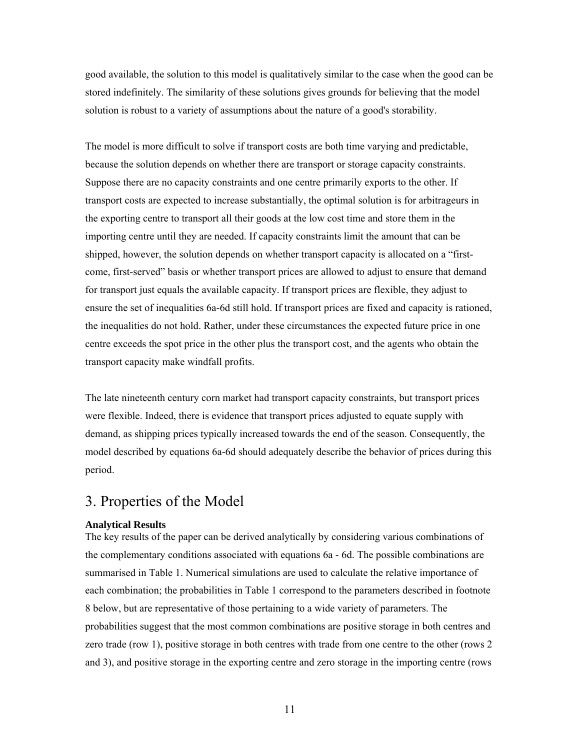good available, the solution to this model is qualitatively similar to the case when the good can be stored indefinitely. The similarity of these solutions gives grounds for believing that the model solution is robust to a variety of assumptions about the nature of a good's storability.

The model is more difficult to solve if transport costs are both time varying and predictable, because the solution depends on whether there are transport or storage capacity constraints. Suppose there are no capacity constraints and one centre primarily exports to the other. If transport costs are expected to increase substantially, the optimal solution is for arbitrageurs in the exporting centre to transport all their goods at the low cost time and store them in the importing centre until they are needed. If capacity constraints limit the amount that can be shipped, however, the solution depends on whether transport capacity is allocated on a "firstcome, first-served" basis or whether transport prices are allowed to adjust to ensure that demand for transport just equals the available capacity. If transport prices are flexible, they adjust to ensure the set of inequalities 6a-6d still hold. If transport prices are fixed and capacity is rationed, the inequalities do not hold. Rather, under these circumstances the expected future price in one centre exceeds the spot price in the other plus the transport cost, and the agents who obtain the transport capacity make windfall profits.

The late nineteenth century corn market had transport capacity constraints, but transport prices were flexible. Indeed, there is evidence that transport prices adjusted to equate supply with demand, as shipping prices typically increased towards the end of the season. Consequently, the model described by equations 6a-6d should adequately describe the behavior of prices during this period.

# 3. Properties of the Model

#### **Analytical Results**

The key results of the paper can be derived analytically by considering various combinations of the complementary conditions associated with equations 6a - 6d. The possible combinations are summarised in Table 1. Numerical simulations are used to calculate the relative importance of each combination; the probabilities in Table 1 correspond to the parameters described in footnote 8 below, but are representative of those pertaining to a wide variety of parameters. The probabilities suggest that the most common combinations are positive storage in both centres and zero trade (row 1), positive storage in both centres with trade from one centre to the other (rows 2 and 3), and positive storage in the exporting centre and zero storage in the importing centre (rows

11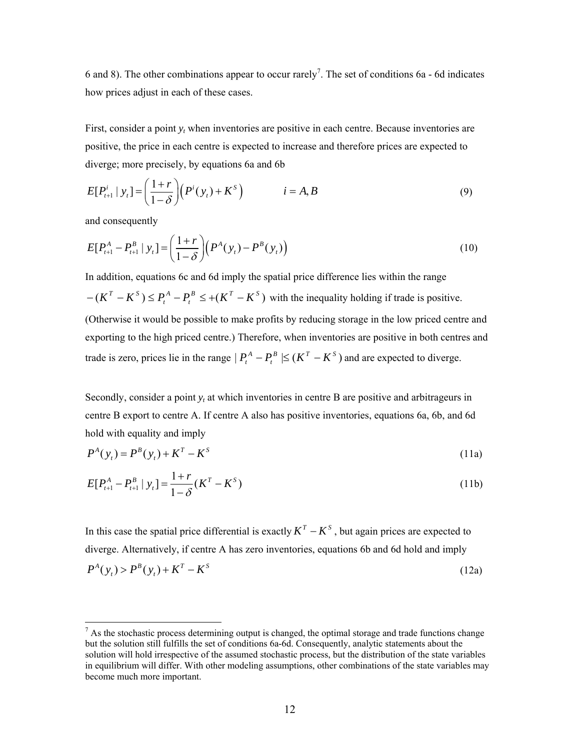6 and 8). The other combinations appear to occur rarely<sup>[7](#page-12-0)</sup>. The set of conditions 6a - 6d indicates how prices adjust in each of these cases.

First, consider a point *yt* when inventories are positive in each centre. Because inventories are positive, the price in each centre is expected to increase and therefore prices are expected to diverge; more precisely, by equations 6a and 6b

$$
E[P_{t+1}^i \mid y_t] = \left(\frac{1+r}{1-\delta}\right) \left(P^i(y_t) + K^s\right) \qquad i = A, B
$$
\n<sup>(9)</sup>

and consequently

 $\overline{a}$ 

$$
E[P_{t+1}^{A} - P_{t+1}^{B} | y_t] = \left(\frac{1+r}{1-\delta}\right) \left(P^{A}(y_t) - P^{B}(y_t)\right)
$$
\n(10)

In addition, equations 6c and 6d imply the spatial price difference lies within the range  $(K^T - K^S) \le P_t^A - P_t^B \le +(K^T - K^S)$ *A*  $-(K^T - K^S) \le P_t^A - P_t^B \le +(K^T - K^S)$  with the inequality holding if trade is positive. (Otherwise it would be possible to make profits by reducing storage in the low priced centre and exporting to the high priced centre.) Therefore, when inventories are positive in both centres and trade is zero, prices lie in the range  $| P_t^A - P_t^B | \leq (K^T - K^S)$  and are expected to diverge.

Secondly, consider a point  $y_t$  at which inventories in centre B are positive and arbitrageurs in centre B export to centre A. If centre A also has positive inventories, equations 6a, 6b, and 6d hold with equality and imply

$$
P^{A}(y_{t}) = P^{B}(y_{t}) + K^{T} - K^{S}
$$
 (11a)

$$
E[P_{t+1}^{A} - P_{t+1}^{B} | y_t] = \frac{1+r}{1-\delta} (K^{T} - K^{S})
$$
\n(11b)

In this case the spatial price differential is exactly  $K^T - K^S$ , but again prices are expected to diverge. Alternatively, if centre A has zero inventories, equations 6b and 6d hold and imply  $P^{A}( y_{i} ) > P^{B}( y_{i} ) + K^{T} - K^{S}$ (12a)

<span id="page-12-0"></span> $<sup>7</sup>$  As the stochastic process determining output is changed, the optimal storage and trade functions change</sup> but the solution still fulfills the set of conditions 6a-6d. Consequently, analytic statements about the solution will hold irrespective of the assumed stochastic process, but the distribution of the state variables in equilibrium will differ. With other modeling assumptions, other combinations of the state variables may become much more important.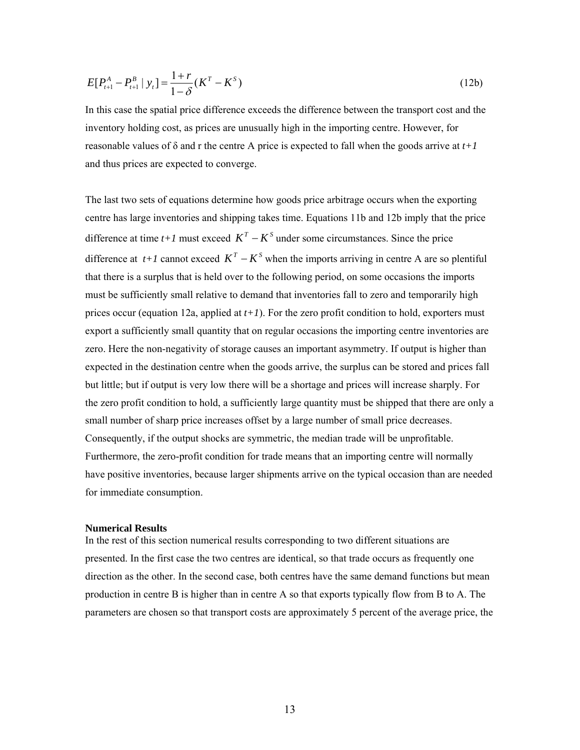$$
E[P_{t+1}^{A} - P_{t+1}^{B} | y_t] = \frac{1+r}{1-\delta} (K^{T} - K^{S})
$$
\n(12b)

In this case the spatial price difference exceeds the difference between the transport cost and the inventory holding cost, as prices are unusually high in the importing centre. However, for reasonable values of  $\delta$  and r the centre A price is expected to fall when the goods arrive at  $t+1$ and thus prices are expected to converge.

The last two sets of equations determine how goods price arbitrage occurs when the exporting centre has large inventories and shipping takes time. Equations 11b and 12b imply that the price difference at time  $t+1$  must exceed  $K^T - K^S$  under some circumstances. Since the price difference at *t+1* cannot exceed  $K^T - K^S$  when the imports arriving in centre A are so plentiful that there is a surplus that is held over to the following period, on some occasions the imports must be sufficiently small relative to demand that inventories fall to zero and temporarily high prices occur (equation 12a, applied at *t+1*). For the zero profit condition to hold, exporters must export a sufficiently small quantity that on regular occasions the importing centre inventories are zero. Here the non-negativity of storage causes an important asymmetry. If output is higher than expected in the destination centre when the goods arrive, the surplus can be stored and prices fall but little; but if output is very low there will be a shortage and prices will increase sharply. For the zero profit condition to hold, a sufficiently large quantity must be shipped that there are only a small number of sharp price increases offset by a large number of small price decreases. Consequently, if the output shocks are symmetric, the median trade will be unprofitable. Furthermore, the zero-profit condition for trade means that an importing centre will normally have positive inventories, because larger shipments arrive on the typical occasion than are needed for immediate consumption.

#### **Numerical Results**

<span id="page-13-0"></span>In the rest of this section numerical results corresponding to two different situations are presented. In the first case the two centres are identical, so that trade occurs as frequently one direction as the other. In the second case, both centres have the same demand functions but mean production in centre B is higher than in centre A so that exports typically flow from B to A. [The](#page-13-0) parameters are chosen so that transport costs are approximately 5 percent of the average price, the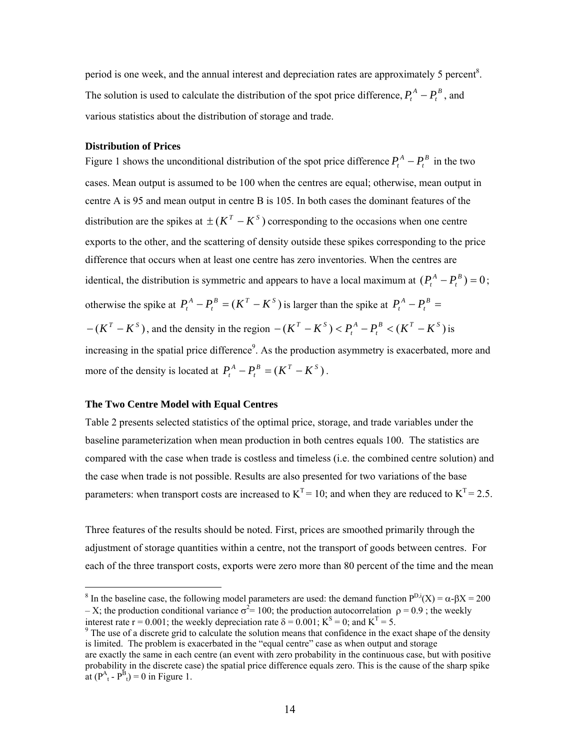period is one week, and the annual interest and depreciation rates are approximately 5 percent<sup>8</sup>. The solution is used to calculate the distribution of the spot price difference,  $P_t^A - P_t^B$ , and various statistics about the distribution of storage and trade.  $P_t^A - P_t$ 

#### **Distribution of Prices**

Figure 1 shows the unconditional distribution of the spot price difference  $P_t^A - P_t^B$  in the two cases. Mean output is assumed to be 100 when the centres are equal; otherwise, mean output in centre A is 95 and mean output in centre B is 105. In both cases the dominant features of the distribution are the spikes at  $\pm (K^T - K^S)$  corresponding to the occasions when one centre exports to the other, and the scattering of density outside these spikes corresponding to the price difference that occurs when at least one centre has zero inventories. When the centres are identical, the distribution is symmetric and appears to have a local maximum at  $(P_t^A - P_t^B) = 0$ ; otherwise the spike at  $P_t^A - P_t^B = (K^T - K^S)$  is larger than the spike at  $P_t^A - P_t^B =$  $-(K^T - K^S)$ , and the density in the re[gi](#page-14-0)on  $-(K^T - K^S) < P_t^A - P_t^B < (K^T - K^S)$  is increasing in the spatial price difference<sup>9</sup>. As the production asymmetry is exacerbated, more and  $P_t^A - P_t$ *A*  $-(K^T - K^S) < P_t^A - P_t^B < (K^T - K^S)$ more of the density is located at  $P_t^A - P_t^B = (K^T - K^S)$ .

#### **The Two Centre Model with Equal Centres**

Table 2 presents selected statistics of the optimal price, storage, and trade variables under the baseline parameterization when mean production in both centres equals 100. The statistics are compared with the case when trade is costless and timeless (i.e. the combined centre solution) and the case when trade is not possible. Results are also presented for two variations of the base parameters: when transport costs are increased to  $K^T = 10$ ; and when they are reduced to  $K^T = 2.5$ .

Three features of the results should be noted. First, prices are smoothed primarily through the adjustment of storage quantities within a centre, not the transport of goods between centres. For each of the three transport costs, exports were zero more than 80 percent of the time and the mean

 $\frac{1}{8}$ <sup>8</sup> In the baseline case, the following model parameters are used: the demand function  $P^{D,i}(X) = \alpha - \beta X = 200$ – X; the production conditional variance  $\sigma^2$  = 100; the production autocorrelation  $\rho$  = 0.9; the weekly interest rate r = 0.001; the weekly depreciation rate  $\delta = 0.001$ ; K<sup>S</sup> = 0; and K<sup>T</sup> = 5.

<span id="page-14-0"></span> $\degree$  The use of a discrete grid to calculate the solution means that confidence in the exact shape of the density is limited. The problem is exacerbated in the "equal centre" case as when output and storage

are exactly the same in each centre (an event with zero probability in the continuous case, but with positive probability in the discrete case) the spatial price difference equals zero. This is the cause of the sharp spike at  $(P_{t}^{A} - P_{t}^{B}) = 0$  in Figure 1.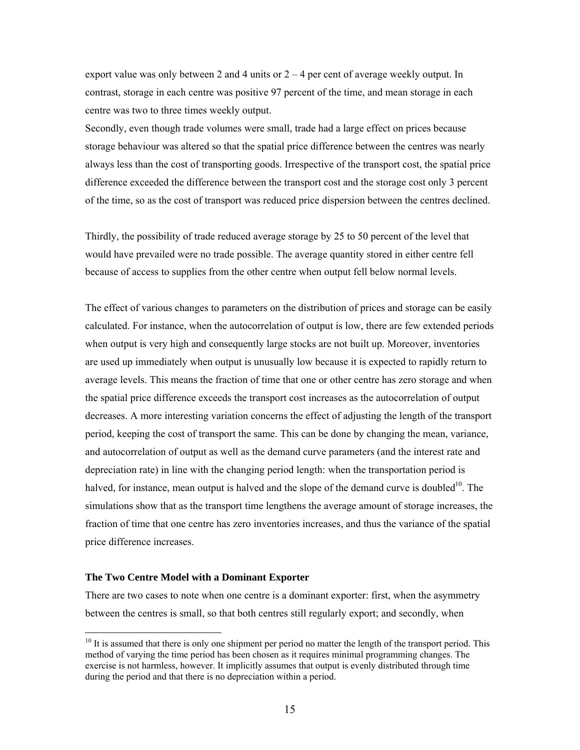export value was only between 2 and 4 units or  $2 - 4$  per cent of average weekly output. In contrast, storage in each centre was positive 97 percent of the time, and mean storage in each centre was two to three times weekly output.

Secondly, even though trade volumes were small, trade had a large effect on prices because storage behaviour was altered so that the spatial price difference between the centres was nearly always less than the cost of transporting goods. Irrespective of the transport cost, the spatial price difference exceeded the difference between the transport cost and the storage cost only 3 percent of the time, so as the cost of transport was reduced price dispersion between the centres declined.

Thirdly, the possibility of trade reduced average storage by 25 to 50 percent of the level that would have prevailed were no trade possible. The average quantity stored in either centre fell because of access to supplies from the other centre when output fell below normal levels.

The effect of various changes to parameters on the distribution of prices and storage can be easily calculated. For instance, when the autocorrelation of output is low, there are few extended periods when output is very high and consequently large stocks are not built up. Moreover, inventories are used up immediately when output is unusually low because it is expected to rapidly return to average levels. This means the fraction of time that one or other centre has zero storage and when the spatial price difference exceeds the transport cost increases as the autocorrelation of output decreases. A more interesting variation concerns the effect of adjusting the length of the transport period, keeping the cost of transport the same. This can be done by changing the mean, [vari](#page-15-0)ance, and autocorrelation of output as well as the demand curve parameters (and the interest rate and depreciation rate) in line with the changing period length: when the transportation period is halved, for instance, mean output is halved and the slope of the demand curve is doubled<sup>10</sup>. The simulations show that as the transport time lengthens the average amount of storage increases, the fraction of time that one centre has zero inventories increases, and thus the variance of the spatial price difference increases.

#### **The Two Centre Model with a Dominant Exporter**

There are two cases to note when one centre is a dominant exporter: first, when the asymmetry between the centres is small, so that both centres still regularly export; and secondly, when

<span id="page-15-0"></span><sup>&</sup>lt;sup>10</sup> It is assumed that there is only one shipment per period no matter the length of the transport period. This method of varying the time period has been chosen as it requires minimal programming changes. The exercise is not harmless, however. It implicitly assumes that output is evenly distributed through time during the period and that there is no depreciation within a period.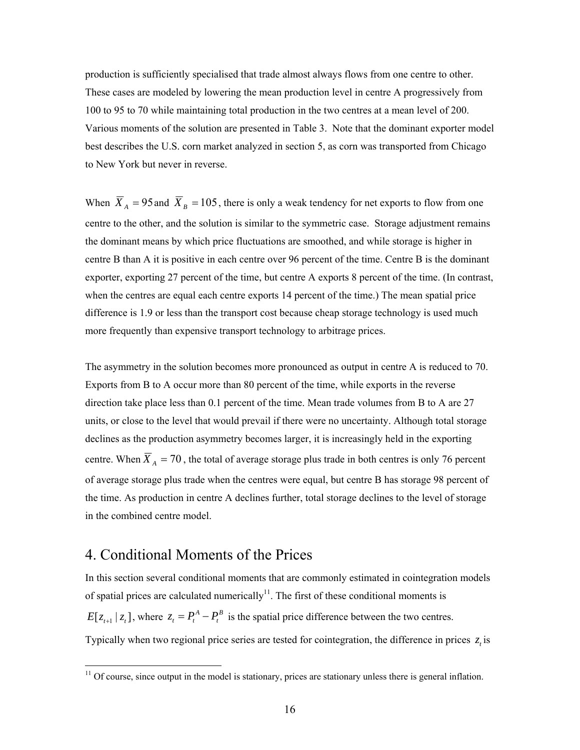production is sufficiently specialised that trade almost always flows from one centre to other. These cases are modeled by lowering the mean production level in centre A progressively from 100 to 95 to 70 while maintaining total production in the two centres at a mean level of 200. Various moments of the solution are presented in Table 3. Note that the dominant exporter model best describes the U.S. corn market analyzed in section 5, as corn was transported from Chicago to New York but never in reverse.

When  $\overline{X}_A = 95$  and  $\overline{X}_B = 105$ , there is only a weak tendency for net exports to flow from one centre to the other, and the solution is similar to the symmetric case. Storage adjustment remains the dominant means by which price fluctuations are smoothed, and while storage is higher in centre B than A it is positive in each centre over 96 percent of the time. Centre B is the dominant exporter, exporting 27 percent of the time, but centre A exports 8 percent of the time. (In contrast, when the centres are equal each centre exports 14 percent of the time.) The mean spatial price difference is 1.9 or less than the transport cost because cheap storage technology is used much more frequently than expensive transport technology to arbitrage prices.

The asymmetry in the solution becomes more pronounced as output in centre A is reduced to 70. Exports from B to A occur more than 80 percent of the time, while exports in the reverse direction take place less than 0.1 percent of the time. Mean trade volumes from B to A are 27 units, or close to the level that would prevail if there were no uncertainty. Although total storage declines as the production asymmetry becomes larger, it is increasingly held in the exporting centre. When  $\overline{X}_A$  = 70, the total of average storage plus trade in both centres is only 76 percent of average storage plus trade when the centres were equal, but centre B has storage 98 percent of the time. As production in centre A declines further, total storage declines to the level of storage in the combined centre model.

# 4. Conditional Moments of the Prices

In this section several conditional moments that are commonly estimated in cointegration models of spatial prices are calculated numerically<sup>11</sup>. The first of these conditional moments is  $E[z_{t+1} | z_t]$ , where  $z_t = P_t^A - P_t^B$  is the spatial price difference between the two centres. Typically when two regional price series are tested for cointegration, the difference in prices  $z$ , is

 $\frac{11}{11}$  Of course, since output in the model is stationary, prices are stationary unless there is general inflation.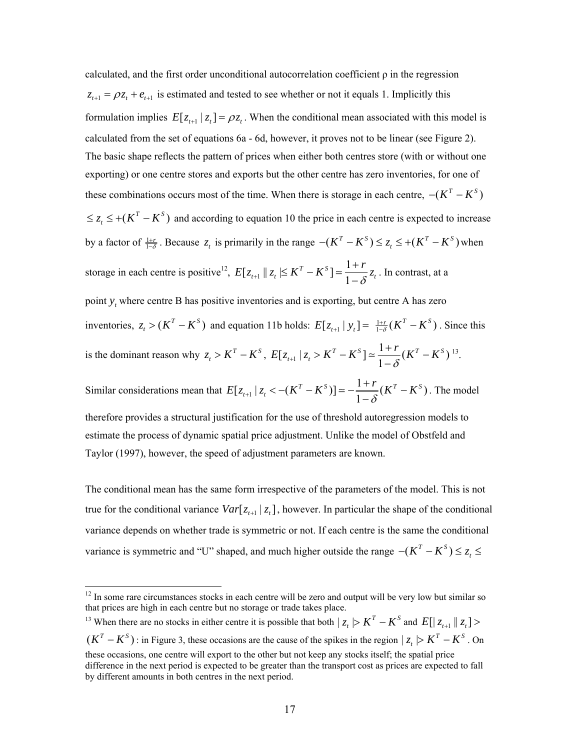calculated, and the first order unconditional autocorrelation coefficient  $\rho$  in the regression  $z_{t+1} = \rho z_t + e_{t+1}$  is estimated and tested to see whether or not it equals 1. Implicitly this formulation implies  $E[z_{t+1} | z_t] = \rho z_t$ . When the conditional mean associated with this model is calculated from the set of equations 6a - 6d, however, it proves not to be linear (see Figure 2). The basic shape reflects the pattern of prices when either both centres store (with or without one exporting) or one centre stores and exports but the other centre has zero inventories, for one of these combinations occurs most of the time. When there is storage in each centre,  $-(K^T - K^S)$  $\leq z_t \leq +(K^T-K^S)$  and accord[ing](#page-17-0) to equation 10 the price in each centre is expected to increase by a factor of  $\frac{1+r}{1-\delta}$ . Because  $z_t$  is primarily in the range  $-(K^T - K^S) \le z_t \le +(K^T - K^S)$  when storage in each centre is positive<sup>12</sup>,  $E[z_{t+1} || z_t | \leq K^T - K^S] \approx \frac{1}{1}$  $E[z_{t+1} \mid z_t \leq K^T - K^S] \approx \frac{1+r}{1-\delta} z_t$ . In contrast, at a point  $y_t$  where centre B has positive inventories and is exporting, but centre A has zero inventories,  $z_t > (K^T - K^S)$  and equation 11b holds:  $E[z_{t+1} | y_t] = \frac{1+r}{1-\delta}(K^T - K^S)$ . Since this is the dominant reason why  $z_t > K^T - K^S$ ,  $E[z_{t+1} | z_t > K^T - K^S] \approx \frac{1+r}{1-\delta}(K^T - K^S)$  $E[z_{t+1} | z_t > K^T - K^S] \approx \frac{1+r}{1-\delta} (K^T - K^S)^{13}.$ Similar considerations mean that  $E[z_{t+1} | z_t < -(K^T - K^S)] \approx -\frac{1+r}{1-\delta}(K^T - K^S)$  $E[z_{t+1} | z_t < -(K^T - K^S)] \approx -\frac{1+r}{1-\delta}(K^T - K^S)$ . The model

therefore provides a structural justification for the use of threshold autoregression models to estimate the process of dynamic spatial price adjustment. Unlike the model of Obstfeld and Taylor (1997), however, the speed of adjustment parameters are known.

The conditional mean has the same form irrespective of the parameters of the model. This is not true for the conditional variance  $Var[z_{t+1} | z_t]$ , however. In particular the shape of the conditional variance depends on whether trade is symmetric or not. If each centre is the same the conditional variance is symmetric and "U" shaped, and much higher outside the range  $-(K^T - K^S) \le z_t \le$ 

 $\overline{a}$ 

 $(K^T - K^S)$ : in Figure 3, these occasions are the cause of the spikes in the region  $|z_t| > K^T - K^S$ . On <sup>13</sup> When there are no stocks in either centre it is possible that both  $|z_t| > K^T - K^S$  and  $E[|z_{t+1}| |z_t] >$ these occasions, one centre will export to the other but not keep any stocks itself; the spatial price difference in the next period is expected to be greater than the transport cost as prices are expected to fall by different amounts in both centres in the next period.

<span id="page-17-0"></span><sup>&</sup>lt;sup>12</sup> In some rare circumstances stocks in each centre will be zero and output will be very low but similar so that prices are high in each centre but no storage or trade takes place.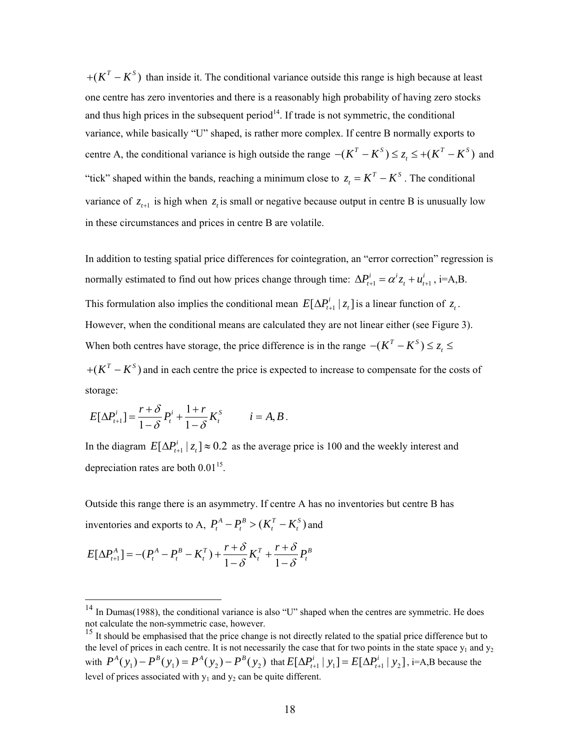$+ (K<sup>T</sup> - K<sup>S</sup>)$  than inside it. The conditional [va](#page-18-0)riance outside this range is high because at least "tick" shaped within the bands, reaching a minimum close to  $z_t = K^T - K^S$ . The conditional one centre has zero inventories and there is a reasonably high probability of having zero stocks and thus high prices in the subsequent period<sup>14</sup>. If trade is not symmetric, the conditional variance, while basically "U" shaped, is rather more complex. If centre B normally exports to centre A, the conditional variance is high outside the range  $-(K^T - K^S) \le z_t \le +(K^T - K^S)$  and variance of  $z_{t+1}$  is high when  $z_t$  is small or negative because output in centre B is unusually low in these circumstances and prices in centre B are volatile.

In addition to testing spatial price differences for cointegration, an "error correction" regression is normally estimated to find out how prices change through time:  $\Delta P_{t+1}^i = \alpha^i z_t + u_{t+1}^i$ , i=A,B. This formulation also implies the conditional mean  $E[\Delta P_{t+1}^i | z_t]$  is a linear function of  $z_t$ . However, when the conditional means are calculated they are not linear either (see Figure 3). When both centres have storage, the price difference is in the range  $-(K^T - K^S) \le z_t \le$ 

 $+ (K<sup>T</sup> - K<sup>S</sup>)$  and in each centre the price is expected to increase to compensate for the costs of storage:

$$
E[\Delta P_{t+1}^i] = \frac{r+\delta}{1-\delta}P_t^i + \frac{1+r}{1-\delta}K_t^S \qquad i = A, B.
$$

In the diagram  $E[\Delta P_{t+1}^i | z_t] \approx 0.2$  as the average price is 100 and the weekly interest and depreciation rates are both  $0.01<sup>15</sup>$ .

Outside this range there is an asymmetry. If centre A has no inventories but centre B has inventories and exports to A,  $P_t^A - P_t^B > (K_t^T - K_t^S)$  and

$$
E[\Delta P_{t+1}^A] = -(P_t^A - P_t^B - K_t^T) + \frac{r+\delta}{1-\delta}K_t^T + \frac{r+\delta}{1-\delta}P_t^B
$$

 $\overline{a}$ 

<span id="page-18-0"></span> $14$  In Dumas(1988), the conditional variance is also "U" shaped when the centres are symmetric. He does not calculate the non-symmetric case, however.

<span id="page-18-1"></span>with  $P^{A}(y_1) - P^{B}(y_1) = P^{A}(y_2) - P^{B}(y_2)$  that  $E[\Delta P_{t+1}^{i} | y_1] = E[\Delta P_{t+1}^{i} | y_2]$ , i=A,B because the <sup>15</sup> It should be emphasised that the price change is not directly related to the spatial price difference but to the level of prices in each centre. It is not necessarily the case that for two points in the state space  $y_1$  and  $y_2$ level of prices associated with  $y_1$  and  $y_2$  can be quite different.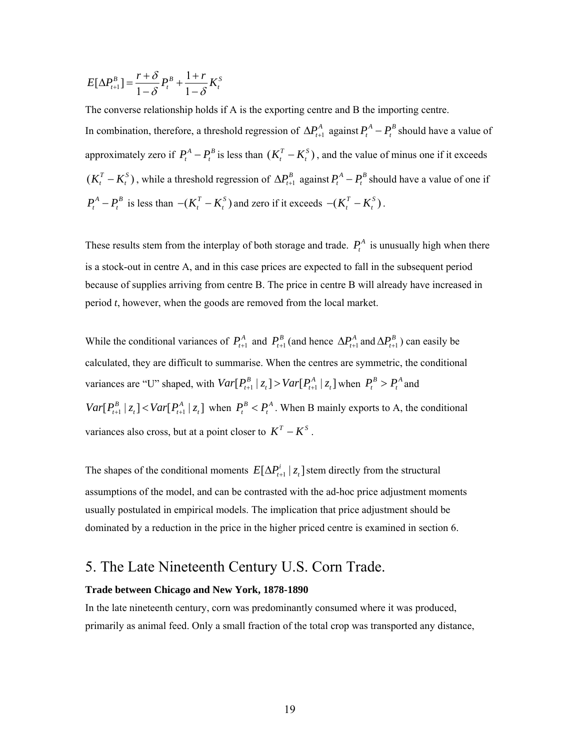$$
E[\Delta P_{t+1}^B] = \frac{r+\delta}{1-\delta} P_t^B + \frac{1+r}{1-\delta} K_t^S
$$

The converse relationship holds if A is the exporting centre and B the importing centre.

In combination, therefore, a threshold regression of  $\Delta P_{t+1}^A$  against  $P_t^A - P_t^B$  should have a value of approximately zero if  $P_t^A - P_t^B$  is less than  $(K_t^T - K_t^S)$ , and the value of minus one if it exceeds  $(K_t^T - K_t^S)$ , while a threshold regression of  $\Delta P_{t+1}^B$  against  $P_t^A - P_t^B$  should have a value of one if  $P_t^A - P_t^B$  is less than  $-(K_t^T - K_t^S)$  and zero if it exceeds  $-(K_t^T - K_t^S)$ .

These results stem from the interplay of both storage and trade.  $P_t^A$  is unusually high when there is a stock-out in centre A, and in this case prices are expected to fall in the subsequent period because of supplies arriving from centre B. The price in centre B will already have increased in period *t*, however, when the goods are removed from the local market.

While the conditional variances of  $P_{t+1}^A$  and  $P_{t+1}^B$  (and hence  $\Delta P_{t+1}^A$  and  $\Delta P_{t+1}^B$ ) can easily be calculated, they are difficult to summarise. When the centres are symmetric, the conditional variances are "U" shaped, with  $Var[P_{t+1}^B | z_t] > Var[P_{t+1}^A | z_t]$  when  $P_t^B > P_t^A$  and  $Var[P_{t+1}^B | z_t] < Var[P_{t+1}^A | z_t]$  when  $P_t^B < P_t^A$ . When B mainly exports to A, the conditional variances also cross, but at a point closer to  $K^T - K^S$ .

The shapes of the conditional moments  $E[\Delta P_{t+1}^i | z_t]$  stem directly from the structural assumptions of the model, and can be contrasted with the ad-hoc price adjustment moments usually postulated in empirical models. The implication that price adjustment should be dominated by a reduction in the price in the higher priced centre is examined in section 6.

# 5. The Late Nineteenth Century U.S. Corn Trade.

#### **Trade between Chicago and New York, 1878-1890**

In the late nineteenth century, corn was predominantly consumed where it was produced, primarily as animal feed. Only a small fraction of the total crop was transported any distance,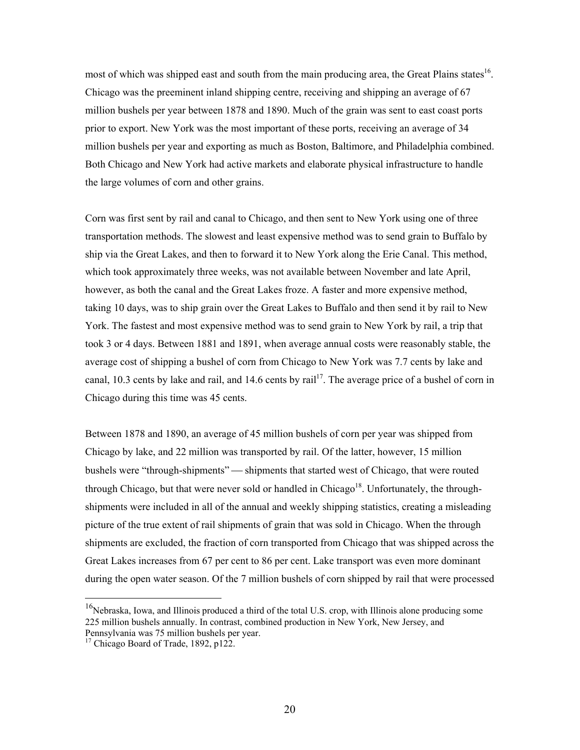most of which was shipped east and south from the main producing area, the Great Plains states<sup>16</sup>. Chicago was the preeminent inland shipping centre, receiving and shipping an average of 67 million bushels per year between 1878 and 1890. Much of the grain was sent to east coast ports prior to export. New York was the most important of these ports, receiving an average of 34 million bushels per year and exporting as much as Boston, Baltimore, and Philadelphia combined. Both Chicago and New York had active markets and elaborate physical infrastructure to handle the large volumes of corn and other grains.

Corn was first sent by rail and canal to Chicago, and then sent to New York using one of three transportation methods. The slowest and least expensive method was to send grain to Buffalo by ship via the Great Lakes, and then to forward it to New York along the Erie Canal. This method, which took approximately three weeks, was not available between November and late April, however, as both the canal and the Great Lakes froze. A faster and more expensive method, taking 10 days, was to ship grain over the Great Lakes to Buffalo and then send it by rail to New York. The fastest and most expensive method was to s[end](#page-20-0) grain to New York by rail, a trip that took 3 or 4 days. Between 1881 and 1891, when average annual costs were reasonably stable, the average cost of shipping a bushel of corn from Chicago to New York was 7.7 cents by lake and canal, 10.3 cents by lake and rail, and 14.6 cents by  $\text{raid}^{17}$ . The average price of a bushel of corn in Chicago during this time was 45 cents.

Between 1878 and 1890, an average of 45 million bushels of cor[n p](#page-20-1)er year was shipped from Chicago by lake, and 22 million was transported by rail. Of the latter, however, 15 million bushels were "through-shipments" — shipments that started west of Chicago, that were routed through Chicago, but that were never sold or handled in Chicago<sup>18</sup>. Unfortunately, the throughshipments were included in all of the annual and weekly shipping statistics, creating a misleading picture of the true extent of rail shipments of grain that was sold in Chicago. When the through shipments are excluded, the fraction of corn transported from Chicago that was shipped across the Great Lakes increases from 67 per cent to 86 per cent. Lake transport was even more dominant during the open water season. Of the 7 million bushels of corn shipped by rail that were processed

<sup>&</sup>lt;sup>16</sup>Nebraska, Iowa, and Illinois produced a third of the total U.S. crop, with Illinois alone producing some 225 million bushels annually. In contrast, combined production in New York, New Jersey, and

<span id="page-20-1"></span><span id="page-20-0"></span>Pennsylvania was 75 million bushels per year. 17 Chicago Board of Trade, 1892, p122.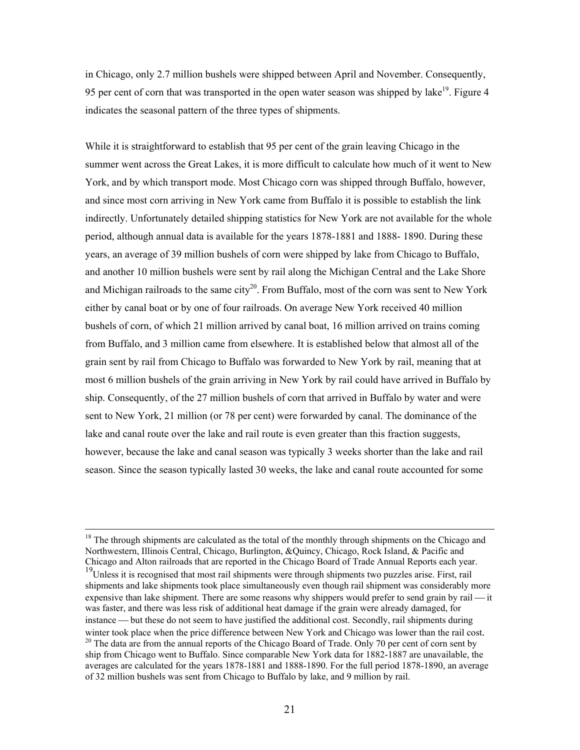in Chicago, only 2.7 million bushels were shipped between April and November. Co[nse](#page-21-0)quently, 95 per cent of corn that was transported in the open water season was shipped by lake<sup>19</sup>. Figure 4 indicates the seasonal pattern of the three types of shipments.

While it is straightforward to establish that 95 per cent of the grain leaving Chicago in the summer went across the Great Lakes, it is more difficult to calculate how much of it went to New York, and by which transport mode. Most Chicago corn was shipped through Buffalo, however, and since most corn arriving in New York came from Buffalo it is possible to establish the link indirectly. Unfortunately detailed shipping statistics for New York are not available for the whole period, although annual data is available for the years 1878-1881 and 1888- 1890. During these years, an average of 39 million bushels of corn were shipped by lake from Chicago to Buffalo, and another 10 million bushels were se[nt](#page-21-1) by rail along the Michigan Central and the Lake Shore and Michigan railroads to the same  $\text{city}^{20}$ . From Buffalo, most of the corn was sent to New York either by canal boat or by one of four railroads. On average New York received 40 million bushels of corn, of which 21 million arrived by canal boat, 16 million arrived on trains coming from Buffalo, and 3 million came from elsewhere. It is established below that almost all of the grain sent by rail from Chicago to Buffalo was forwarded to New York by rail, meaning that at most 6 million bushels of the grain arriving in New York by rail could have arrived in Buffalo by ship. Consequently, of the 27 million bushels of corn that arrived in Buffalo by water and were sent to New York, 21 million (or 78 per cent) were forwarded by canal. The dominance of the lake and canal route over the lake and rail route is even greater than this fraction suggests, however, because the lake and canal season was typically 3 weeks shorter than the lake and rail season. Since the season typically lasted 30 weeks, the lake and canal route accounted for some

 $18$  The through shipments are calculated as the total of the monthly through shipments on the Chicago and Northwestern, Illinois Central, Chicago, Burlington, &Quincy, Chicago, Rock Island, & Pacific and

<span id="page-21-1"></span><span id="page-21-0"></span>Chicago and Alton railroads that are reported in the Chicago Board of Trade Annual Reports each year. 19Unless it is recognised that most rail shipments were through shipments two puzzles arise. First, rail shipments and lake shipments took place simultaneously even though rail shipment was considerably more expensive than lake shipment. There are some reasons why shippers would prefer to send grain by rail — it was faster, and there was less risk of additional heat damage if the grain were already damaged, for instance — but these do not seem to have justified the additional cost. Secondly, rail shipments during winter took place when the price difference between New York and Chicago was lower than the rail cost. <sup>20</sup> The data are from the annual reports of the Chicago Board of Trade. Only 70 per cent of corn sent by ship from Chicago went to Buffalo. Since comparable New York data for 1882-1887 are unavailable, the averages are calculated for the years 1878-1881 and 1888-1890. For the full period 1878-1890, an average of 32 million bushels was sent from Chicago to Buffalo by lake, and 9 million by rail.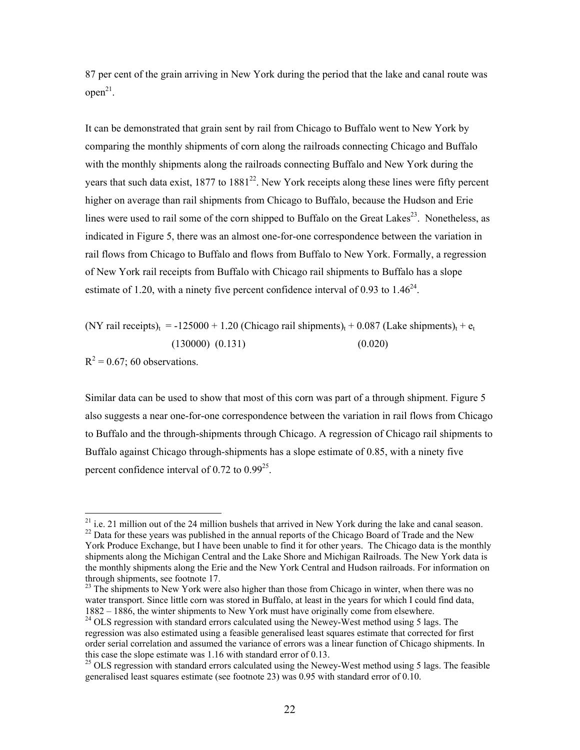87 per cent of the grain arriving in New York during the period that the lake and canal route was  $open<sup>21</sup>$ .

It can be demonstrated that grain sent [by r](#page-22-0)ail from Chicago to Buffalo went to New York by comparing the monthly shipments of corn along the railroads connecting Chicago and Buffalo with the monthly shipments along the railroads connecting Buffalo and New [Yor](#page-22-1)k during the years that such data exist,  $1877$  to  $1881^{22}$ . New York receipts along these lines were fifty percent higher on average than rail shipments from Chicago to Buffalo, because the Hudson and Erie lines were used to rail some of the corn shipped to Buffalo on the Great Lakes $^{23}$ . Nonetheless, as indicated in Figure 5, there was an almost one-for-one correspondence betwe[en](#page-22-2) the variation in rail flows from Chicago to Buffalo and flows from Buffalo to New York. Formally, a regression of New York rail receipts from Buffalo with Chicago rail shipments to Buffalo has a slope estimate of 1.20, with a ninety five percent confidence interval of 0.93 to  $1.46^{24}$ .

(NY rail receipts)<sub>t</sub> = -125000 + 1.20 (Chicago rail shipments)<sub>t</sub> + 0.087 (Lake shipments)<sub>t</sub> + e<sub>t</sub>  $(130000)$   $(0.131)$   $(0.020)$ 

 $R^2$  = 0.67; 60 observations.

Similar data can be used to show that most of this corn was part of a through shipment. Figure 5 also suggests a near one-for-one correspo[nde](#page-22-1)nce between the variation in rail flows from Chicago to Buffalo and the through-shipments through Chicago. A regression of Chicago rail shipments to Buffalo against Chicago through-shipments has a slope estimate of 0.85, with a ninety five percent confidence interval of 0.72 to  $0.99^{25}$ .

<sup>&</sup>lt;sup>21</sup> i.e. 21 million out of the 24 million bushels that arrived in New York during the lake and canal season. <sup>22</sup> Data for these years was published in the annual reports of the Chicago Board of Trade and the New

<span id="page-22-0"></span>York Produce Exchange, but I have been unable to find it for other years. The Chicago data is the monthly shipments along the Michigan Central and the Lake Shore and Michigan Railroads. The New York data is the monthly shipments along the Erie and the New York Central and Hudson railroads. For information on through shipments, see footnote 17.

<span id="page-22-1"></span><sup>&</sup>lt;sup>23</sup> The shipments to New York were also higher than those from Chicago in winter, when there was no water transport. Since little corn was stored in Buffalo, at least in the years for which I could find data, 1882 – 1886, the winter shipments to New York must have originally come from elsewhere. 24 OLS regression with standard errors calculated using the Newey-West method using 5 lags. The

<span id="page-22-2"></span>regression was also estimated using a feasible generalised least squares estimate that corrected for first order serial correlation and assumed the variance of errors was a linear function of Chicago shipments. In this case the slope estimate was 1.16 with standard error of 0.13.<br><sup>25</sup> OLS regression with standard errors calculated using the Newey-West method using 5 lags. The feasible

generalised least squares estimate (see footnote 23) was 0.95 with standard error of 0.10.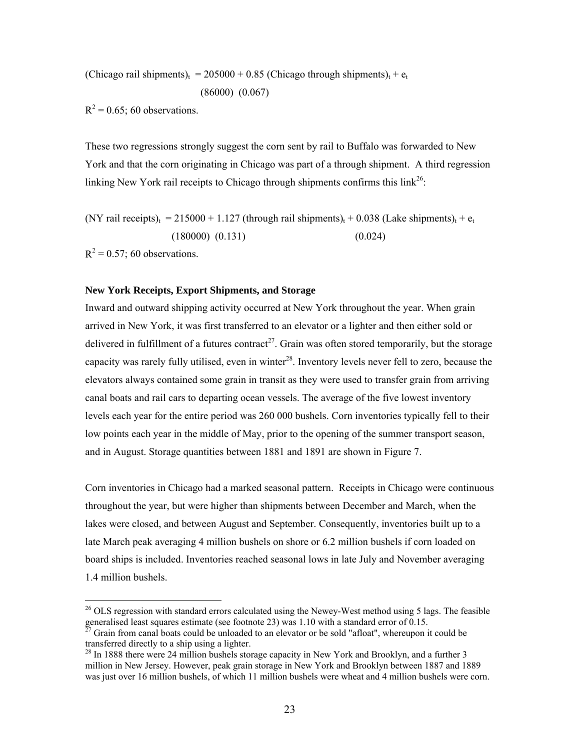(Chicago rail shipments)<sub>t</sub> = 205000 + 0.85 (Chicago through shipments)<sub>t</sub> +  $e_t$ 

$$
(86000) (0.067)
$$

 $R^2$  = 0.65; 60 observations.

These two regressions strongly suggest the corn sent by rail to Buffalo was forwarded to New York and that the corn originating in Chicago was part of a through shipment. A third regression linking New York rail receipts to Chicago through shipments confirms this  $link^{26}$ :

(NY rail receipts)<sub>t</sub> = 215000 + 1.127 (through rail shipments)<sub>t</sub> + 0.038 (Take shipments)<sub>t</sub> + 
$$
e_t
$$
  
(180000) (0.131) (0.024)

 $R^2$  = 0.57; 60 observations.

#### **New York Receipts, Export Shipments, and [Sto](#page-23-0)rage**

Inward and outward shipping activity occurred at New York throughout the year. When grain arrived in New York, it was first transferred to an elevator or a lighter and then either sold or delivered in fulfillment of a futures contract<sup>27</sup>. Grain was often stored temporarily, but the storage capacity was rarely fully utilised, even in winter<sup>28</sup>. Inventory levels never fell to zero, because the elevators always contained some grain in transit as they were used to transfer grain from arriving canal boats and rail cars to departing ocean vessels. The average of the five lowest inventory levels each year for the entire period was 260 000 bushels. Corn inventories typically fell to their low points each year in the middle of May, prior to the opening of the summer transport season, and in August. Storage quantities between 1881 and 1891 are shown in Figure 7.

Corn inventories in Chicago had a marked seasonal pattern. Receipts in Chicago were continuous throughout the year, but were higher than shipments between December and March, when the lakes were closed, and between August and September. Consequently, inventories built up to a late March peak averaging 4 million bushels on shore or 6.2 million bushels if corn loaded on board ships is included. Inventories reached seasonal lows in late July and November averaging 1.4 million bushels.

 $^{26}$  OLS regression with standard errors calculated using the Newey-West method using 5 lags. The feasible

<span id="page-23-0"></span>generalised least squares estimate (see footnote 23) was 1.10 with a standard error of 0.15. <sup>27</sup> Grain from canal boats could be unloaded to an elevator or be sold "afloat", whereupon it could be transferred directly to

 $28$  In 1888 there were 24 million bushels storage capacity in New York and Brooklyn, and a further 3 million in New Jersey. However, peak grain storage in New York and Brooklyn between 1887 and 1889 was just over 16 million bushels, of which 11 million bushels were wheat and 4 million bushels were corn.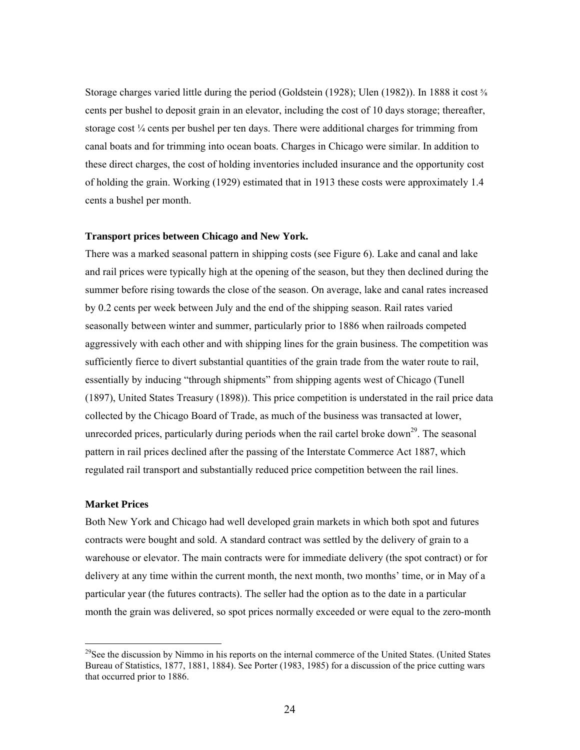Storage charges varied little during the period (Goldstein (1928); Ulen (1982)). In 1888 it cost ⅝ cents per bushel to deposit grain in an elevator, including the cost of 10 days storage; thereafter, storage cost  $\frac{1}{4}$  cents per bushel per ten days. There were additional charges for trimming from canal boats and for trimming into ocean boats. Charges in Chicago were similar. In addition to these direct charges, the cost of holding inventories included insurance and the opportunity cost of holding the grain. Working (1929) estimated that in 1913 these costs were approximately 1.4 cents a bushel per month.

#### **Transport prices between Chicago and New York.**

There was a marked seasonal pattern in shipping costs (see Figure 6). Lake and canal and lake and rail prices were typically high at the opening of the season, but they then declined during the summer before rising towards the close of the season. On average, lake and canal rates increased by 0.2 cents per week between July and the end of the shipping season. Rail rates varied seasonally between winter and summer, particularly prior to 1886 when railroads competed aggressively with each other and with shipping lines for the grain business. The competition was sufficiently fierce to divert substantial quantities of the grain trade from the water route to rail, essentially by inducing "through shipments" from shipping agents west of Ch[ica](#page-24-0)go (Tunell (1897), United States Treasury (1898)). This price competition is understated in the rail price data collected by the Chicago Board of Trade, as much of the business was transacted at lower, unrecorded prices, particularly during periods when the rail cartel broke down<sup>29</sup>. The seasonal pattern in rail prices declined after the passing of the Interstate Commerce Act 1887, which regulated rail transport and substantially reduced price competition between the rail lines.

#### **Market Prices**

Both New York and Chicago had well developed grain markets in which both spot and futures contracts were bought and sold. A standard contract was settled by the delivery of grain to a warehouse or elevator. The main contracts were for immediate delivery (the spot contract) or for delivery at any time within the current month, the next month, two months' time, or in May of a particular year (the futures contracts). The seller had the option as to the date in a particular month the grain was delivered, so spot prices normally exceeded or were equal to the zero-month

<span id="page-24-0"></span><sup>&</sup>lt;sup>29</sup>See the discussion by Nimmo in his reports on the internal commerce of the United States. (United States Bureau of Statistics, 1877, 1881, 1884). See Porter (1983, 1985) for a discussion of the price cutting wars that occurred prior to 1886.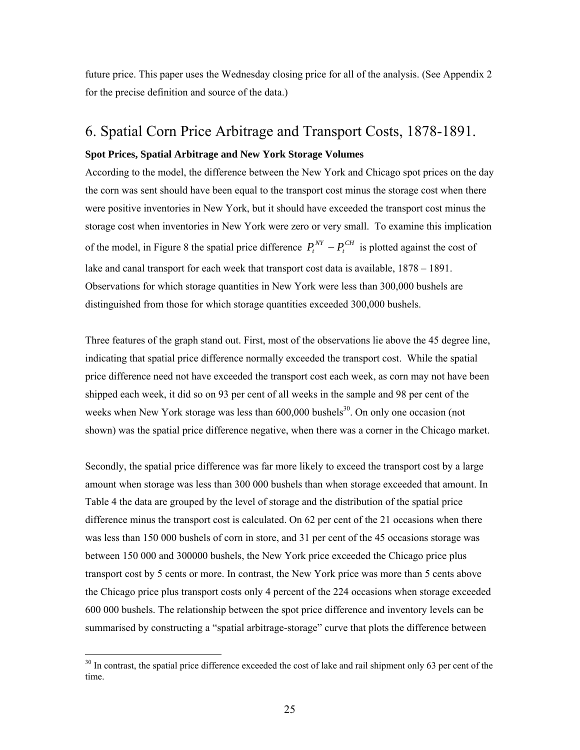future price. This paper uses the Wednesday closing price for all of the analysis. (See Appendix 2 for the precise definition and source of the data.)

# 6. Spatial Corn Price Arbitrage and Transport Costs, 1878-1891.

#### **Spot Prices, Spatial Arbitrage and New York Storage Volumes**

According to the model, the difference between the New York and Chicago spot prices on the day the corn was sent should have been equal to the transport cost minus the storage cost when there were positive inventories in New York, but it should have exceeded the transport cost minus the storage cost when inventories in New York were zero or very small. To examine this implication of the model, in Figure 8 the spatial price difference  $P_t^{NT} - P_t^{CH}$  is plotted against the cost of lake and canal transport for each week that transport cost data is available, 1878 – 1891. Observations for which storage quantities in New York were less than 300,000 bushels are distinguished from those for which storage quantities exceeded 300,000 bushels.  $P_t^{NY} - P_t$ 

Three features of the graph stand out. First, most of the observations lie above the 45 degree line, indicating that spatial price difference normally exceeded the transport cost. While the spatial price difference need not have exceeded the transport cost ea[ch w](#page-25-0)eek, as corn may not have been shipped each week, it did so on 93 per cent of all weeks in the sample and 98 per cent of the weeks when New York storage was less than  $600,000$  bushels<sup>30</sup>. On only one occasion (not shown) was the spatial price difference negative, when there was a corner in the Chicago market.

Secondly, the spatial price difference was far more likely to exceed the transport cost by a large amount when storage was less than 300 000 bushels than when storage exceeded that amount. In Table 4 the data are grouped by the level of storage and the distribution of the spatial price difference minus the transport cost is calculated. On 62 per cent of the 21 occasions when there was less than 150 000 bushels of corn in store, and 31 per cent of the 45 occasions storage was between 150 000 and 300000 bushels, the New York price exceeded the Chicago price plus transport cost by 5 cents or more. In contrast, the New York price was more than 5 cents above the Chicago price plus transport costs only 4 percent of the 224 occasions when storage exceeded 600 000 bushels. The relationship between the spot price difference and inventory levels can be summarised by constructing a "spatial arbitrage-storage" curve that plots the difference between

<span id="page-25-0"></span><sup>&</sup>lt;sup>30</sup> In contrast, the spatial price difference exceeded the cost of lake and rail shipment only 63 per cent of the time.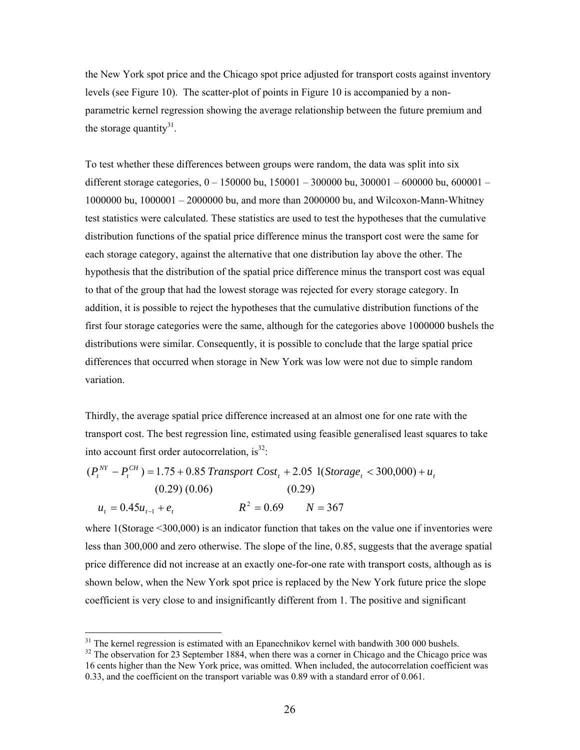the New York spot price and the Chicago spot price adjusted for transport costs against inventory levels (see Figure 10). The scatter-plot of points in Figure 10 is accompanied by a nonparametric kernel regression showing the average relationship between the future premium and the storage quantity $31$ .

To test whether these differences between groups were random, the data was split into six different storage categories, 0 – 150000 bu, 150001 – 300000 bu, 300001 – 600000 bu, 600001 – 1000000 bu, 1000001 – 2000000 bu, and more than 2000000 bu, and Wilcoxon-Mann-Whitney test statistics were calculated. These statistics are used to test the hypotheses that the cumulative distribution functions of the spatial price difference minus the transport cost were the same for each storage category, against the alternative that one distribution lay above the other. The hypothesis that the distribution of the spatial price difference minus the transport cost was equal to that of the group that had the lowest storage was rejected for every storage category. In addition, it is possible to reject the hypotheses that the cumulative distribution functions of the first four storage categories were the same, although for the categories above 1000000 bushels the distributions were similar. Consequently, it is possible to conclude that the large spatial price differences that occurred when storage in New York was low were not due to simple random variation.

Thirdly, the average spatial price difference increased at an almost one for one rate with the transport cost. The best regression line, estimated using feasible generalised least squares to take into account first order autocorrelation, is $^{32}$ :

$$
(P_t^{NY} - P_t^{CH}) = 1.75 + 0.85 \text{ Transport Cost}_t + 2.05 \text{ 1}(Storage_t < 300,000) + u_t
$$
\n
$$
(0.29) \ (0.06) \qquad (0.29)
$$
\n
$$
u_t = 0.45u_{t-1} + e_t \qquad R^2 = 0.69 \qquad N = 367
$$

where 1(Storage <300,000) is an indicator function that takes on the value one if inventories were less than 300,000 and zero otherwise. The slope of the line, 0.85, suggests that the average spatial price difference did not increase at an exactly one-for-one rate with transport costs, although as is shown below, when the New York spot price is replaced by the New York future price the slope coefficient is very close to and insignificantly different from 1. The positive and significant

<span id="page-26-0"></span><sup>&</sup>lt;sup>31</sup> The kernel regression is estimated with an Epanechnikov kernel with bandwith 300 000 bushels. <sup>32</sup> The observation for 23 September 1884, when there was a corner in Chicago and the Chicago price was

<span id="page-26-1"></span><sup>16</sup> cents higher than the New York price, was omitted. When included, the autocorrelation coefficient was 0.33, and the coefficient on the transport variable was 0.89 with a standard error of 0.061.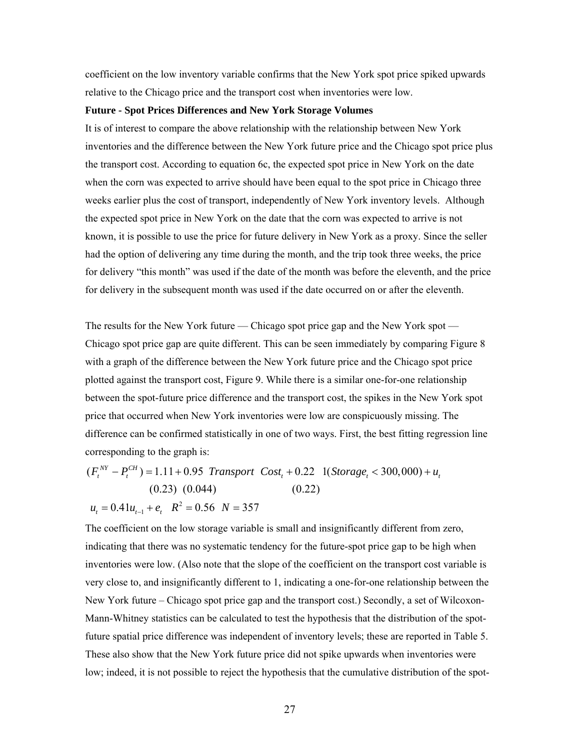coefficient on the low inventory variable confirms that the New York spot price spiked upwards relative to the Chicago price and the transport cost when inventories were low.

#### **Future - Spot Prices Differences and New York Storage Volumes**

It is of interest to compare the above relationship with the relationship between New York inventories and the difference between the New York future price and the Chicago spot price plus the transport cost. According to equation 6c, the expected spot price in New York on the date when the corn was expected to arrive should have been equal to the spot price in Chicago three weeks earlier plus the cost of transport, independently of New York inventory levels. Although the expected spot price in New York on the date that the corn was expected to arrive is not known, it is possible to use the price for future delivery in New York as a proxy. Since the seller had the option of delivering any time during the month, and the trip took three weeks, the price for delivery "this month" was used if the date of the month was before the eleventh, and the price for delivery in the subsequent month was used if the date occurred on or after the eleventh.

The results for the New York future — Chicago spot price gap and the New York spot — Chicago spot price gap are quite different. This can be seen immediately by comparing Figure 8 with a graph of the difference between the New York future price and the Chicago spot price plotted against the transport cost, Figure 9. While there is a similar one-for-one relationship between the spot-future price difference and the transport cost, the spikes in the New York spot price that occurred when New York inventories were low are conspicuously missing. The difference can be confirmed statistically in one of two ways. First, the best fitting regression line corresponding to the graph is:

$$
(F_t^{NY} - P_t^{CH}) = 1.11 + 0.95
$$
 Transport  $Cost_t + 0.22$  1(*Storage\_t* < 300,000) +  $u_t$   
(0.23) (0.044) (0.22)  
 $u_t = 0.41u_{t-1} + e_t$   $R^2 = 0.56$   $N = 357$ 

The coefficient on the low storage variable is small and insignificantly different from zero, indicating that there was no systematic tendency for the future-spot price gap to be high when inventories were low. (Also note that the slope of the coefficient on the transport cost variable is very close to, and insignificantly different to 1, indicating a one-for-one relationship between the New York future – Chicago spot price gap and the transport cost.) Secondly, a set of Wilcoxon-Mann-Whitney statistics can be calculated to test the hypothesis that the distribution of the spotfuture spatial price difference was independent of inventory levels; these are reported in Table 5. These also show that the New York future price did not spike upwards when inventories were low; indeed, it is not possible to reject the hypothesis that the cumulative distribution of the spot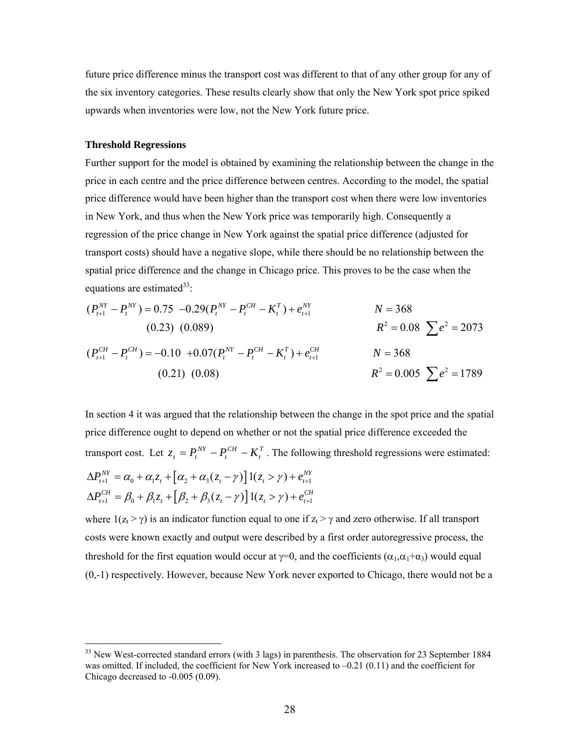future price difference minus the transport cost was different to that of any other group for any of the six inventory categories. These results clearly show that only the New York spot price spiked upwards when inventories were low, not the New York future price.

#### **Threshold Regressions**

 $\overline{a}$ 

Further support for the model is obtained by examining the relationship between the change in the price in each centre and the price difference between centres. According to the model, the spatial price difference would have been higher than the transport cost when there were low inventories in New York, and thus when the New York price was temporarily high. Consequently a regression of the price change in New York against the spatial price difference (adjusted for transport costs) should have a negative slope, while there should be no relationship between the spatial price difference and the change in Chicago price. This proves to be the case when the equations are estimated  $33$ :

$$
(P_{t+1}^{NY} - P_{t}^{NY}) = 0.75 -0.29(P_{t}^{NY} - P_{t}^{CH} - K_{t}^{T}) + e_{t+1}^{NY} \t\t N = 368
$$
  
\n(0.23) (0.089)  
\n
$$
(P_{t+1}^{CH} - P_{t}^{CH}) = -0.10 +0.07(P_{t}^{NY} - P_{t}^{CH} - K_{t}^{T}) + e_{t+1}^{CH} \t\t N = 368
$$
  
\n(0.21) (0.08)  
\n
$$
R^{2} = 0.005 \sum e^{2} = 1789
$$

In section 4 it was argued that the relationship between the change in the spot price and the spatial price difference ought to depend on whether or not the spatial price difference exceeded the transport cost. Let  $z_t = P_t^{NT} - P_t^{CH} - K_t^T$ . The following threshold regressions were estimated: *CH t*  $z_t = P_t^{NT} - P_t^{CH} - K$  $\alpha_{n+1}^{NY} = \alpha_0 + \alpha_1 z_t + \left[ \alpha_2 + \alpha_3 (z_t - \gamma) \right] 1(z_t > \gamma) + e_{t+1}^{NY}$  $\mathcal{L}_{t+1}^{CH} = \beta_0 + \beta_1 z_t + [\beta_2 + \beta_3 (z_t - \gamma)] \mathbb{1}(z_t > \gamma) + e_{t+1}^{CH}$  $\Delta P_{t+1}^{NY} = \alpha_0 + \alpha_1 z_t + \left[ \alpha_2 + \alpha_3 (z_t - \gamma) \right] 1(z_t > \gamma) + e_{t+1}^{NY}$  $\Delta P_{t+1}^{CH} = \beta_0 + \beta_1 z_t + \left[\beta_2 + \beta_3(z_t - \gamma)\right]1(z_t > \gamma) + e_{t+1}^{CH}$ 

where  $1(z_t > \gamma)$  is an indicator function equal to one if  $z_t > \gamma$  and zero otherwise. If all transport costs were known exactly and output were described by a first order autoregressive process, the threshold for the first equation would occur at  $\gamma=0$ , and the coefficients  $(\alpha_1,\alpha_1+\alpha_3)$  would equal (0,-1) respectively. However, because New York never exported to Chicago, there would not be a

<span id="page-28-0"></span><sup>&</sup>lt;sup>33</sup> New West-corrected standard errors (with 3 lags) in parenthesis. The observation for 23 September 1884 was omitted. If included, the coefficient for New York increased to  $-0.21$  (0.11) and the coefficient for Chicago decreased to -0.005 (0.09).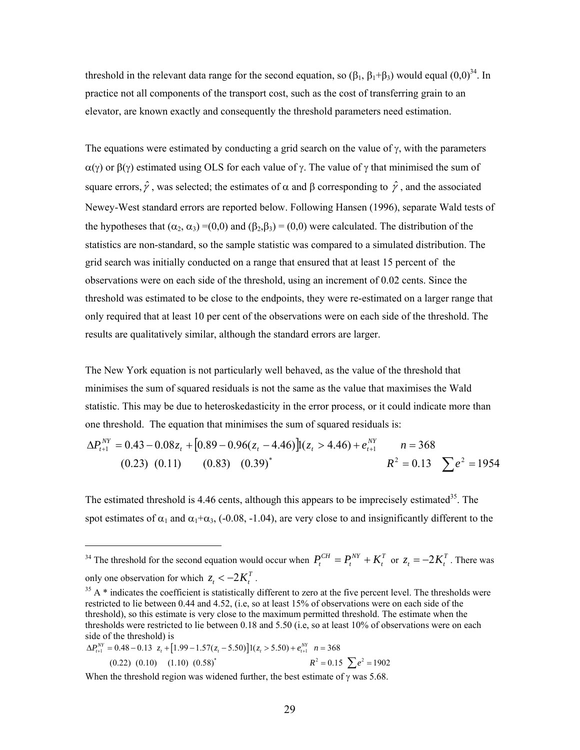threshold in the relevant data range for the second equation, so  $(\beta_1, \beta_1+\beta_3)$  would equal  $(0,0)^{34}$ . In practice not all components of the transport cost, such as the cost of transferring grain to an elevator, are known exactly and consequently the threshold parameters need estimation.

The equations were estimated by conducting a grid search on the value of  $\gamma$ , with the parameters  $\alpha(\gamma)$  or  $\beta(\gamma)$  estimated using OLS for each value of  $\gamma$ . The value of  $\gamma$  that minimised the sum of square errors,  $\hat{\gamma}$ , was selected; the estimates of  $\alpha$  and  $\beta$  corresponding to  $\hat{\gamma}$ , and the associated Newey-West standard errors are reported below. Following Hansen (1996), separate Wald tests of the hypotheses that  $(\alpha_2, \alpha_3) = (0,0)$  and  $(\beta_2, \beta_3) = (0,0)$  were calculated. The distribution of the statistics are non-standard, so the sample statistic was compared to a simulated distribution. The grid search was initially conducted on a range that ensured that at least 15 percent of the observations were on each side of the threshold, using an increment of 0.02 cents. Since the threshold was estimated to be close to the endpoints, they were re-estimated on a larger range that only required that at least 10 per cent of the observations were on each side of the threshold. The results are qualitatively similar, although the standard errors are larger.

The New York equation is not particularly well behaved, as the value of the threshold that minimises the sum of squared residuals is not the same as the value that maximises the Wald statistic. This may be due to heteroskedasticity in the error process, or it could indicate more than one threshold. The equation that minimises the sum of squared residuals is:

$$
\Delta P_{t+1}^{NY} = 0.43 - 0.08z_t + [0.89 - 0.96(z_t - 4.46)]t(z_t > 4.46) + e_{t+1}^{NY} \qquad n = 368
$$
  
(0.23) (0.11) (0.83) (0.39)<sup>\*</sup>  $R^2 = 0.13 \sum e^2 = 1954$ 

The estimated threshold is 4.46 cents, although this appears to be imprecisely estimated<sup>35</sup>. The spot estimates of  $\alpha_1$  and  $\alpha_1+\alpha_3$ , (-0.08, -1.04), are very close to and insignificantly different to the

$$
\Delta P_{t+1}^{NY} = 0.48 - 0.13 \ z_t + [1.99 - 1.57(z_t - 5.50)]1(z_t > 5.50) + e_{t+1}^{NY} \ n = 368
$$
\n
$$
(0.22) \ (0.10) \ (1.10) \ (0.58)^{*} \ R^{2} = 0.15 \ \sum e^{2} = 1902
$$

 $\overline{a}$ 

When the threshold region was widened further, the best estimate of  $\gamma$  was 5.68.

<span id="page-29-0"></span><sup>&</sup>lt;sup>34</sup> The threshold for the second equation would occur when  $P_t^{CH} = P_t^{NY} + K_t^T$  or  $z_t = -2K_t^T$ . There was only one observation for which  $z_t < -2K_t^T$ .

<span id="page-29-1"></span> $35$  A  $*$  indicates the coefficient is statistically different to zero at the five percent level. The thresholds were restricted to lie between 0.44 and 4.52, (i.e, so at least 15% of observations were on each side of the threshold), so this estimate is very close to the maximum permitted threshold. The estimate when the thresholds were restricted to lie between 0.18 and 5.50 (i.e, so at least 10% of observations were on each side of the threshold) is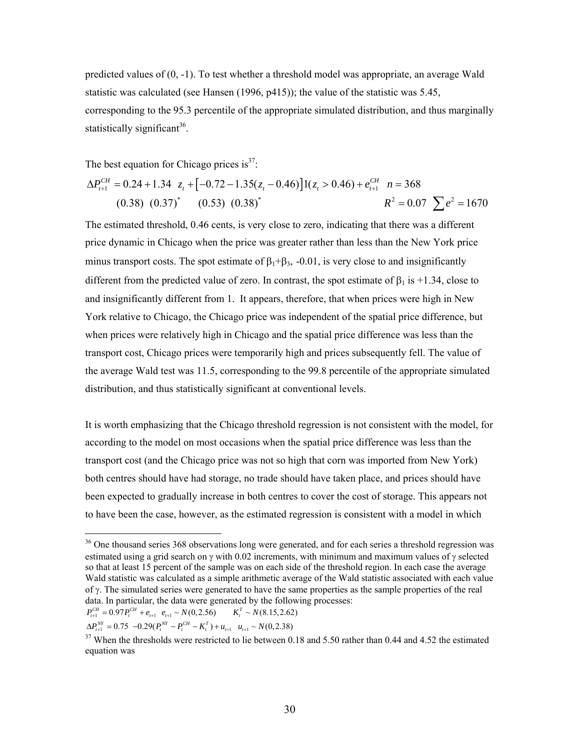predicted values of (0, -1). To test whether a threshold model was appropriate, an average Wald statistic was calculated (see Hansen (1996, p415)); the value of the statistic was 5.45, corresponding to the 95.3 percentile of the appropriate simulated distribution, and thus marginally statistically significant<sup>36</sup>.

The best equation for Chicago prices is  $3^7$ :

$$
\Delta P_{t+1}^{CH} = 0.24 + 1.34 \t z_t + [-0.72 - 1.35(z_t - 0.46)]1(z_t > 0.46) + e_{t+1}^{CH} \t n = 368
$$
  
(0.38) (0.37)<sup>\*</sup> (0.53) (0.38)<sup>\*</sup>  $R^2 = 0.07 \sum e^2 = 1670$ 

The estimated threshold, 0.46 cents, is very close to zero, indicating that there was a different price dynamic in Chicago when the price was greater rather than less than the New York price minus transport costs. The spot estimate of  $\beta_1 + \beta_3$ , -0.01, is very close to and insignificantly different from the predicted value of zero. In contrast, the spot estimate of  $\beta_1$  is +1.34, close to and insignificantly different from 1. It appears, therefore, that when prices were high in New York relative to Chicago, the Chicago price was independent of the spatial price difference, but when prices were relatively high in Chicago and the spatial price difference was less than the transport cost, Chicago prices were temporarily high and prices subsequently fell. The value of the average Wald test was 11.5, corresponding to the 99.8 percentile of the appropriate simulated distribution, and thus statistically significant at conventional levels.

It is worth emphasizing that the Chicago threshold regression is not consistent with the model, for according to the model on most occasions when the spatial price difference was less than the transport cost (and the Chicago price was not so high that corn was imported from New York) both centres should have had storage, no trade should have taken place, and prices should have been expected to gradually increase in both centres to cover the cost of storage. This appears not to have been the case, however, as the estimated regression is consistent with a model in which

 $\overline{a}$ 

<span id="page-30-0"></span><sup>&</sup>lt;sup>36</sup> One thousand series 368 observations long were generated, and for each series a threshold regression was estimated using a grid search on  $\gamma$  with 0.02 increments, with minimum and maximum values of  $\gamma$  selected so that at least 15 percent of the sample was on each side of the threshold region. In each case the average Wald statistic was calculated as a simple arithmetic average of the Wald statistic associated with each value of γ. The simulated series were generated to have the same properties as the sample properties of the real data. In particular, the data were generated by the following processes:

 $P_{t+1}^{CH} = 0.97 P_{t}^{CH} + e_{t+1} e_{t+1} \sim N(0, 2.56)$   $K_{t}^{T} \sim N(8.15, 2.62)$ 

 $\Delta P_{t+1}^{NY} = 0.75 \ -0.29(P_t^{NY} - P_t^{CH} - K_t^T) + u_{t+1} \ u_{t+1} \sim N(0, 2.38)$ 

<span id="page-30-1"></span><sup>&</sup>lt;sup>37</sup> When the thresholds were restricted to lie between 0.18 and 5.50 rather than 0.44 and 4.52 the estimated equation was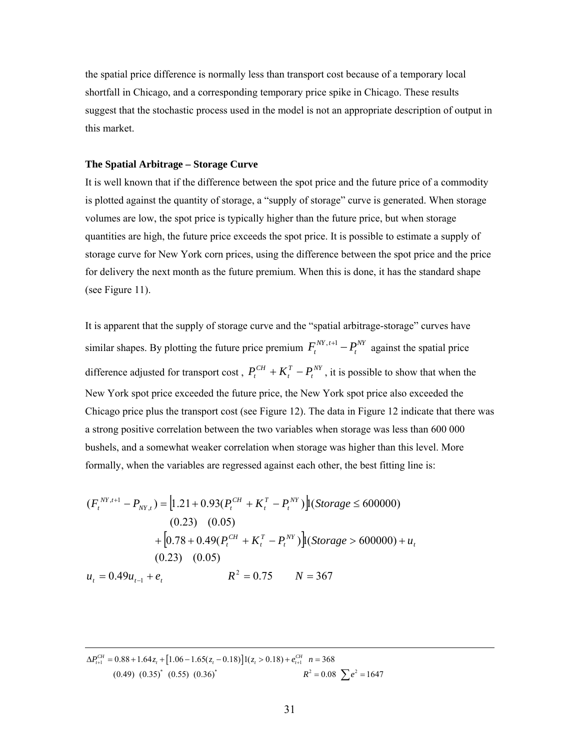the spatial price difference is normally less than transport cost because of a temporary local shortfall in Chicago, and a corresponding temporary price spike in Chicago. These results suggest that the stochastic process used in the model is not an appropriate description of output in this market.

#### **The Spatial Arbitrage – Storage Curve**

It is well known that if the difference between the spot price and the future price of a commodity is plotted against the quantity of storage, a "supply of storage" curve is generated. When storage volumes are low, the spot price is typically higher than the future price, but when storage quantities are high, the future price exceeds the spot price. It is possible to estimate a supply of storage curve for New York corn prices, using the difference between the spot price and the price for delivery the next month as the future premium. When this is done, it has the standard shape (see Figure 11).

It is apparent that the supply of storage curve and the "spatial arbitrage-storage" curves have similar shapes. By plotting the future price premium  $F_t^{NY, t+1} - P_t^{NY}$  against the spatial price difference adjusted for transport cost,  $P_t^{CH} + K_t^T - P_t^{NY}$ , it is possible to show that when the New York spot price exceeded the future price, the New York spot price also exceeded the Chicago price plus the transport cost (see Figure 12). The data in Figure 12 indicate that there was a strong positive correlation between the two variables when storage was less than 600 000 bushels, and a somewhat weaker correlation when storage was higher than this level. More formally, when the variables are regressed against each other, the best fitting line is: *t T*  $P_t^{CH} + K_t^{T} - P_t$ 

$$
(F_t^{NY,t+1} - P_{NY,t}) = [1.21 + 0.93(P_t^{CH} + K_t^T - P_t^{NY})](Storage \le 600000)
$$
  
(0.23) (0.05)  
+ [0.78 + 0.49(P\_t^{CH} + K\_t^T - P\_t^{NY})](Storage > 600000) + u\_t  
(0.23) (0.05)  

$$
u_t = 0.49u_{t-1} + e_t \qquad R^2 = 0.75 \qquad N = 367
$$

 $\mathcal{L}_{1}^{H} = 0.88 + 1.64 z_t + [1.06 - 1.65(z_t - 0.18)]1(z_t > 0.18) + e_{t+1}^{CH}$ \*  $(0.55)$   $(0.26)$ \*  $R^2 - 0.08 \sum_{x=1}^{8}$  $0.88 + 1.64z_+ + [1.06 - 1.65(z_+ - 0.18)]1(z_+ > 0.18) + e_{+1}^{CH}$   $n = 368$ (0.49)  $(0.35)^*$  (0.55)  $(0.36)^*$   $R^2 = 0.08$   $\sum e^2 = 1647$  $\Delta P_{t+1}^{CH} = 0.88 + 1.64z_t + [1.06 - 1.65(z_t - 0.18)]1(z_t > 0.18) + e_{t+1}^{CH} n =$  $R^2 = 0.08$   $\sum e^2 =$ 

 $\overline{a}$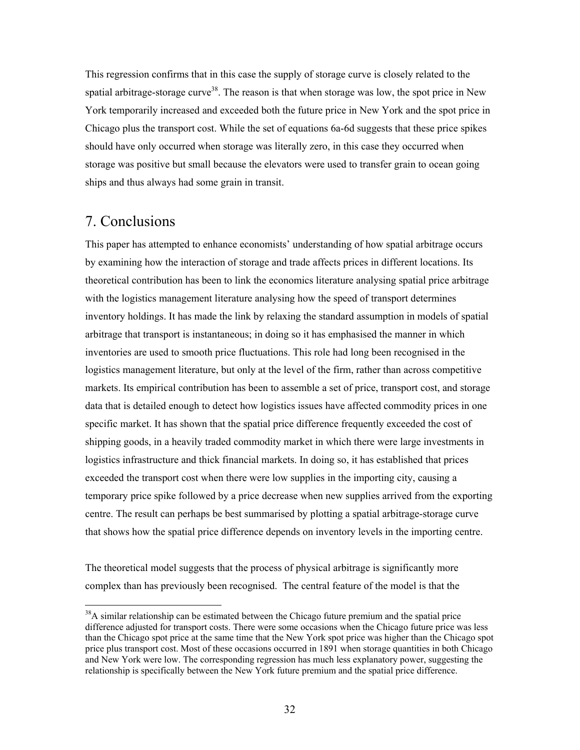This regression confirms that in this case the supply of storage curve is closely related to the spatial arbitrage-storage curve<sup>38</sup>. The reason is that when storage was low, the spot price in New York temporarily increased and exceeded both the future price in New York and the spot price in Chicago plus the transport cost. While the set of equations 6a-6d suggests that these price spikes should have only occurred when storage was literally zero, in this case they occurred when storage was positive but small because the elevators were used to transfer grain to ocean going ships and thus always had some grain in transit.

# 7. Conclusions

This paper has attempted to enhance economists' understanding of how spatial arbitrage occurs by examining how the interaction of storage and trade affects prices in different locations. Its theoretical contribution has been to link the economics literature analysing spatial price arbitrage with the logistics management literature analysing how the speed of transport determines inventory holdings. It has made the link by relaxing the standard assumption in models of spatial arbitrage that transport is instantaneous; in doing so it has emphasised the manner in which inventories are used to smooth price fluctuations. This role had long been recognised in the logistics management literature, but only at the level of the firm, rather than across competitive markets. Its empirical contribution has been to assemble a set of price, transport cost, and storage data that is detailed enough to detect how logistics issues have affected commodity prices in one specific market. It has shown that the spatial price difference frequently exceeded the cost of shipping goods, in a heavily traded commodity market in which there were large investments in logistics infrastructure and thick financial markets. In doing so, it has established that prices exceeded the transport cost when there were low supplies in the importing city, causing a temporary price spike followed by a price decrease when new supplies arrived from the exporting centre. The result can perhaps be best summarised by plotting a spatial arbitrage-storage curve that shows how the spatial price difference depends on inventory levels in the importing centre.

The theoretical model suggests that the process of physical arbitrage is significantly more complex than has previously been recognised. The central feature of the model is that the

<span id="page-32-0"></span><sup>&</sup>lt;sup>38</sup>A similar relationship can be estimated between the Chicago future premium and the spatial price difference adjusted for transport costs. There were some occasions when the Chicago future price was less than the Chicago spot price at the same time that the New York spot price was higher than the Chicago spot price plus transport cost. Most of these occasions occurred in 1891 when storage quantities in both Chicago and New York were low. The corresponding regression has much less explanatory power, suggesting the relationship is specifically between the New York future premium and the spatial price difference.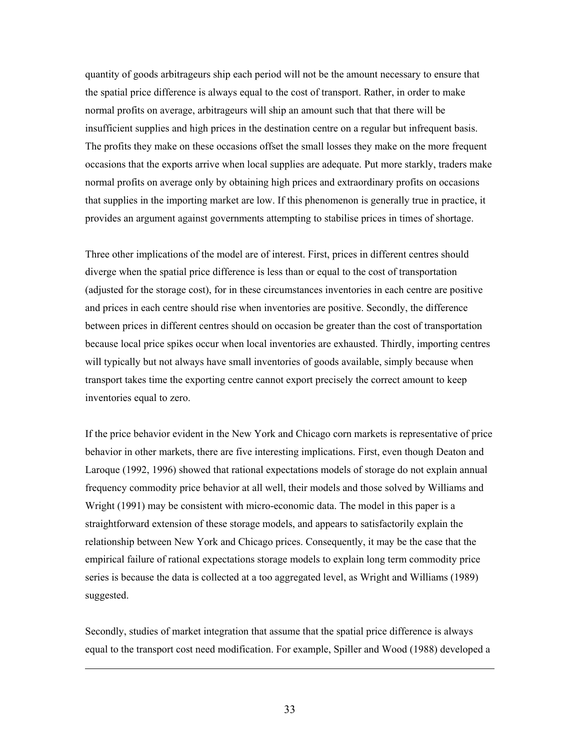quantity of goods arbitrageurs ship each period will not be the amount necessary to ensure that the spatial price difference is always equal to the cost of transport. Rather, in order to make normal profits on average, arbitrageurs will ship an amount such that that there will be insufficient supplies and high prices in the destination centre on a regular but infrequent basis. The profits they make on these occasions offset the small losses they make on the more frequent occasions that the exports arrive when local supplies are adequate. Put more starkly, traders make normal profits on average only by obtaining high prices and extraordinary profits on occasions that supplies in the importing market are low. If this phenomenon is generally true in practice, it provides an argument against governments attempting to stabilise prices in times of shortage.

Three other implications of the model are of interest. First, prices in different centres should diverge when the spatial price difference is less than or equal to the cost of transportation (adjusted for the storage cost), for in these circumstances inventories in each centre are positive and prices in each centre should rise when inventories are positive. Secondly, the difference between prices in different centres should on occasion be greater than the cost of transportation because local price spikes occur when local inventories are exhausted. Thirdly, importing centres will typically but not always have small inventories of goods available, simply because when transport takes time the exporting centre cannot export precisely the correct amount to keep inventories equal to zero.

If the price behavior evident in the New York and Chicago corn markets is representative of price behavior in other markets, there are five interesting implications. First, even though Deaton and Laroque (1992, 1996) showed that rational expectations models of storage do not explain annual frequency commodity price behavior at all well, their models and those solved by Williams and Wright (1991) may be consistent with micro-economic data. The model in this paper is a straightforward extension of these storage models, and appears to satisfactorily explain the relationship between New York and Chicago prices. Consequently, it may be the case that the empirical failure of rational expectations storage models to explain long term commodity price series is because the data is collected at a too aggregated level, as Wright and Williams (1989) suggested.

Secondly, studies of market integration that assume that the spatial price difference is always equal to the transport cost need modification. For example, Spiller and Wood (1988) developed a

 $\overline{a}$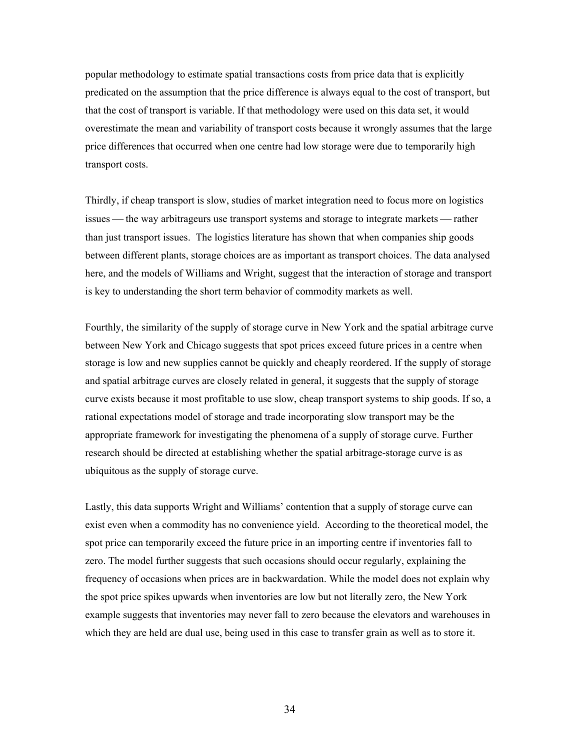popular methodology to estimate spatial transactions costs from price data that is explicitly predicated on the assumption that the price difference is always equal to the cost of transport, but that the cost of transport is variable. If that methodology were used on this data set, it would overestimate the mean and variability of transport costs because it wrongly assumes that the large price differences that occurred when one centre had low storage were due to temporarily high transport costs.

Thirdly, if cheap transport is slow, studies of market integration need to focus more on logistics issues — the way arbitrageurs use transport systems and storage to integrate markets — rather than just transport issues. The logistics literature has shown that when companies ship goods between different plants, storage choices are as important as transport choices. The data analysed here, and the models of Williams and Wright, suggest that the interaction of storage and transport is key to understanding the short term behavior of commodity markets as well.

Fourthly, the similarity of the supply of storage curve in New York and the spatial arbitrage curve between New York and Chicago suggests that spot prices exceed future prices in a centre when storage is low and new supplies cannot be quickly and cheaply reordered. If the supply of storage and spatial arbitrage curves are closely related in general, it suggests that the supply of storage curve exists because it most profitable to use slow, cheap transport systems to ship goods. If so, a rational expectations model of storage and trade incorporating slow transport may be the appropriate framework for investigating the phenomena of a supply of storage curve. Further research should be directed at establishing whether the spatial arbitrage-storage curve is as ubiquitous as the supply of storage curve.

Lastly, this data supports Wright and Williams' contention that a supply of storage curve can exist even when a commodity has no convenience yield. According to the theoretical model, the spot price can temporarily exceed the future price in an importing centre if inventories fall to zero. The model further suggests that such occasions should occur regularly, explaining the frequency of occasions when prices are in backwardation. While the model does not explain why the spot price spikes upwards when inventories are low but not literally zero, the New York example suggests that inventories may never fall to zero because the elevators and warehouses in which they are held are dual use, being used in this case to transfer grain as well as to store it.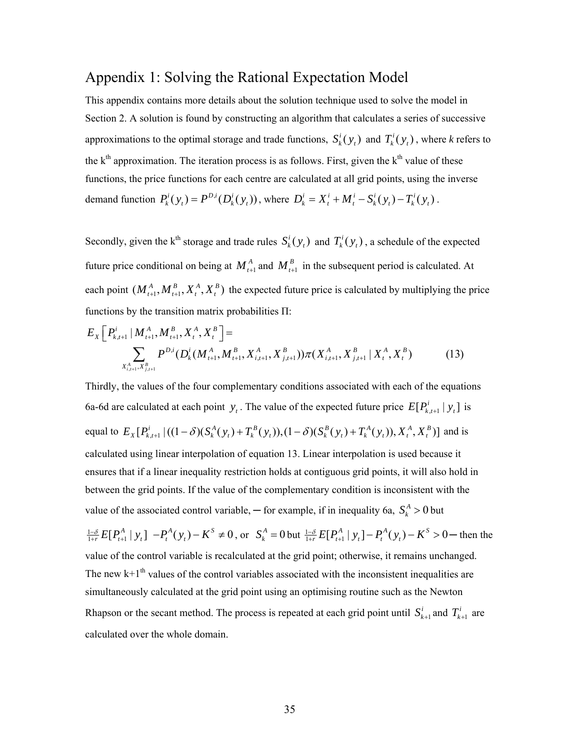# Appendix 1: Solving the Rational Expectation Model

This appendix contains more details about the solution technique used to solve the model in Section 2. A solution is found by constructing an algorithm that calculates a series of successive approximations to the optimal storage and trade functions,  $S_k^i(y_t)$  and  $T_k^i(y_t)$ , where *k* refers to the  $k<sup>th</sup>$  approximation. The iteration process is as follows. First, given the  $k<sup>th</sup>$  value of these functions, the price functions for each centre are calculated at all grid points, using the inverse demand function  $P_k^i(y_t) = P^{D,i}(D_k^i(y_t))$ , where  $D_k^i = X_t^i + M_t^i - S_k^i(y_t) - T_k^i(y_t)$ .

Secondly, given the k<sup>th</sup> storage and trade rules  $S_k^i(y_t)$  and  $T_k^i(y_t)$ , a schedule of the expected future price conditional on being at  $M_{t+1}^A$  and  $M_{t+1}^B$  in the subsequent period is calculated. At each point  $(M_{i+1}^A, M_{i+1}^B, X_i^A, X_i^B)$  the expected future price is calculated by multiplying the price functions by the transition matrix probabilities Π:

$$
E_{X}\left[P_{k,t+1}^{i} \mid M_{t+1}^{A}, M_{t+1}^{B}, X_{t}^{A}, X_{t}^{B}\right] = \sum_{X_{i,t+1}^{A}, X_{j,t+1}^{B}} P^{D,i}(D_{k}^{i}(M_{t+1}^{A}, M_{t+1}^{B}, X_{i,t+1}^{A}, X_{j,t+1}^{B}))\pi(X_{i,t+1}^{A}, X_{j,t+1}^{B} \mid X_{t}^{A}, X_{t}^{B}) \tag{13}
$$

Thirdly, the values of the four complementary conditions associated with each of the equations 6a-6d are calculated at each point  $y_t$ . The value of the expected future price  $E[P_{k,t+1}^i | y_t]$  is equal to  $E_X[P_{k,t+1}^i|((1-\delta)(S_k^A(y_t)+T_k^B(y_t)),(1-\delta)(S_k^B(y_t)+T_k^A(y_t)),X_t^A,X_t^B)]$  and is calculated using linear interpolation of equation 13. Linear interpolation is used because it ensures that if a linear inequality restriction holds at contiguous grid points, it will also hold in between the grid points. If the value of the complementary condition is inconsistent with the value of the associated control variable,  $-$  for example, if in inequality 6a,  $S_k^A > 0$  but  $\frac{1-\delta}{1+r}E[P_{t+1}^{A}|y_t]$   $-P_t^{A}(y_t) - K^s \neq 0$ , or  $S_k^{A} = 0$  but  $\frac{1-\delta}{1+r}E[P_{t+1}^{A}|y_t] - P_t^{A}(y_t) - K^s > 0$  - then the value of the control variable is recalculated at the grid point; otherwise, it remains unchanged. The new  $k+1<sup>th</sup>$  values of the control variables associated with the inconsistent inequalities are simultaneously calculated at the grid point using an optimising routine such as the Newton Rhapson or the secant method. The process is repeated at each grid point until  $S'_{k+1}$  and  $T'_{k+1}$  are calculated over the whole domain.  $S_{k+1}^i$  and  $T_{k+1}^i$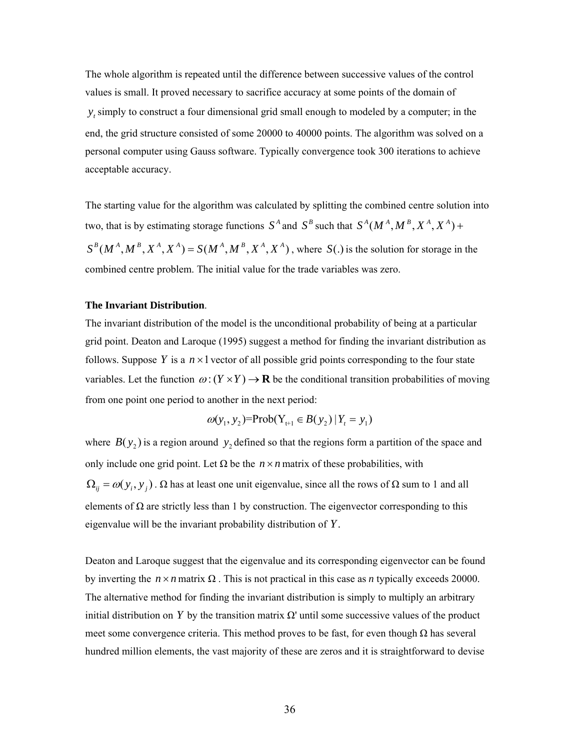The whole algorithm is repeated until the difference between successive values of the control values is small. It proved necessary to sacrifice accuracy at some points of the domain of  $y_t$  simply to construct a four dimensional grid small enough to modeled by a computer; in the end, the grid structure consisted of some 20000 to 40000 points. The algorithm was solved on a personal computer using Gauss software. Typically convergence took 300 iterations to achieve acceptable accuracy.

The starting value for the algorithm was calculated by splitting the combined centre solution into two, that is by estimating storage functions  $S^A$  and  $S^B$  such that  $S^A(M^A, M^B, X^A, X^A)$  +  $S^{B}(M^{A}, M^{B}, X^{A}, X^{A}) = S(M^{A}, M^{B}, X^{A}, X^{A})$ , where  $S(.)$  is the solution for storage in the combined centre problem. The initial value for the trade variables was zero.

#### **The Invariant Distribution**.

The invariant distribution of the model is the unconditional probability of being at a particular grid point. Deaton and Laroque (1995) suggest a method for finding the invariant distribution as follows. Suppose Y is a  $n \times 1$  vector of all possible grid points corresponding to the four state variables. Let the function  $\omega$ :  $(Y \times Y) \rightarrow \mathbf{R}$  be the conditional transition probabilities of moving from one point one period to another in the next period:

$$
\omega(y_1, y_2) = \text{Prob}(Y_{t+1} \in B(y_2) | Y_t = y_1)
$$

where  $B(y_2)$  is a region around  $y_2$  defined so that the regions form a partition of the space and only include one grid point. Let  $\Omega$  be the  $n \times n$  matrix of these probabilities, with  $\Omega_{ii} = \omega(y_i, y_j)$ . Ω has at least one unit eigenvalue, since all the rows of  $\Omega$  sum to 1 and all elements of  $\Omega$  are strictly less than 1 by construction. The eigenvector corresponding to this eigenvalue will be the invariant probability distribution of *Y*.

Deaton and Laroque suggest that the eigenvalue and its corresponding eigenvector can be found by inverting the  $n \times n$  matrix Ω. This is not practical in this case as *n* typically exceeds 20000. The alternative method for finding the invariant distribution is simply to multiply an arbitrary initial distribution on *Y* by the transition matrix Ω' until some successive values of the product meet some convergence criteria. This method proves to be fast, for even though  $\Omega$  has several hundred million elements, the vast majority of these are zeros and it is straightforward to devise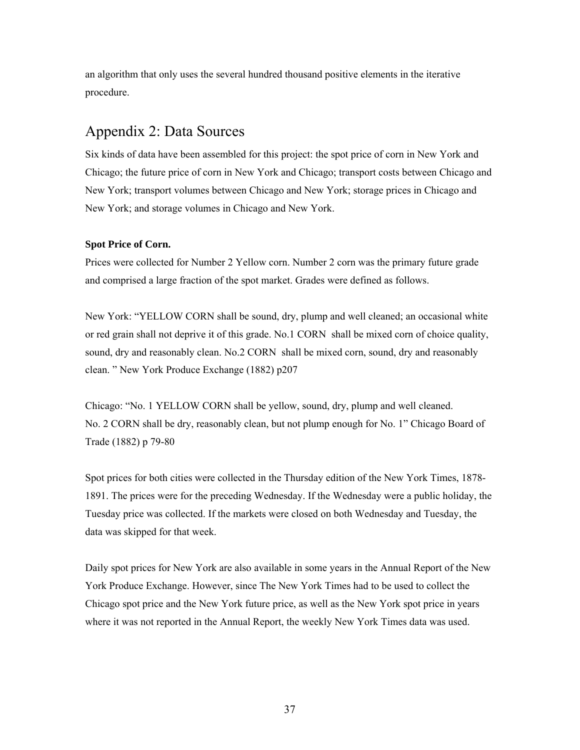an algorithm that only uses the several hundred thousand positive elements in the iterative procedure.

# Appendix 2: Data Sources

Six kinds of data have been assembled for this project: the spot price of corn in New York and Chicago; the future price of corn in New York and Chicago; transport costs between Chicago and New York; transport volumes between Chicago and New York; storage prices in Chicago and New York; and storage volumes in Chicago and New York.

### **Spot Price of Corn.**

Prices were collected for Number 2 Yellow corn. Number 2 corn was the primary future grade and comprised a large fraction of the spot market. Grades were defined as follows.

New York: "YELLOW CORN shall be sound, dry, plump and well cleaned; an occasional white or red grain shall not deprive it of this grade. No.1 CORN shall be mixed corn of choice quality, sound, dry and reasonably clean. No.2 CORN shall be mixed corn, sound, dry and reasonably clean. " New York Produce Exchange (1882) p207

Chicago: "No. 1 YELLOW CORN shall be yellow, sound, dry, plump and well cleaned. No. 2 CORN shall be dry, reasonably clean, but not plump enough for No. 1" Chicago Board of Trade (1882) p 79-80

Spot prices for both cities were collected in the Thursday edition of the New York Times, 1878- 1891. The prices were for the preceding Wednesday. If the Wednesday were a public holiday, the Tuesday price was collected. If the markets were closed on both Wednesday and Tuesday, the data was skipped for that week.

Daily spot prices for New York are also available in some years in the Annual Report of the New York Produce Exchange. However, since The New York Times had to be used to collect the Chicago spot price and the New York future price, as well as the New York spot price in years where it was not reported in the Annual Report, the weekly New York Times data was used.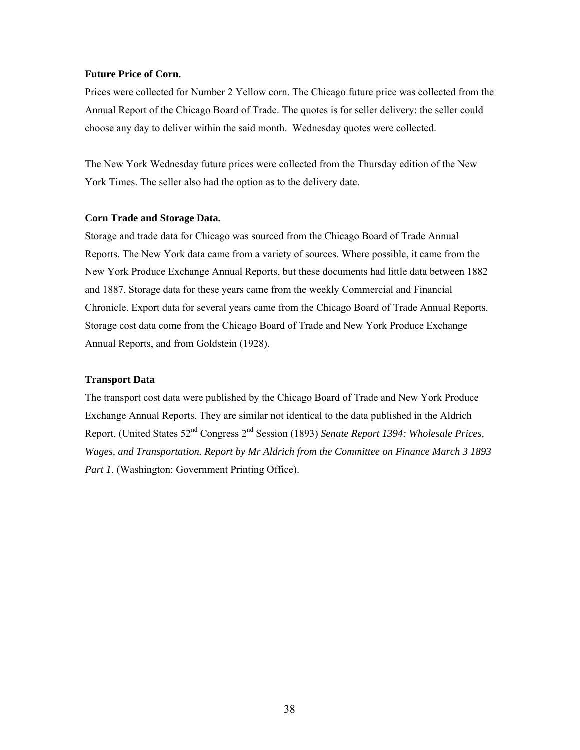#### **Future Price of Corn.**

Prices were collected for Number 2 Yellow corn. The Chicago future price was collected from the Annual Report of the Chicago Board of Trade. The quotes is for seller delivery: the seller could choose any day to deliver within the said month. Wednesday quotes were collected.

The New York Wednesday future prices were collected from the Thursday edition of the New York Times. The seller also had the option as to the delivery date.

#### **Corn Trade and Storage Data.**

Storage and trade data for Chicago was sourced from the Chicago Board of Trade Annual Reports. The New York data came from a variety of sources. Where possible, it came from the New York Produce Exchange Annual Reports, but these documents had little data between 1882 and 1887. Storage data for these years came from the weekly Commercial and Financial Chronicle. Export data for several years came from the Chicago Board of Trade Annual Reports. Storage cost data come from the Chicago Board of Trade and New York Produce Exchange Annual Reports, and from Goldstein (1928).

### **Transport Data**

The transport cost data were published by the Chicago Board of Trade and New York Produce Exchange Annual Reports. They are similar not identical to the data published in the Aldrich Report, (United States 52nd Congress 2nd Session (1893) *Senate Report 1394: Wholesale Prices, Wages, and Transportation. Report by Mr Aldrich from the Committee on Finance March 3 1893 Part 1.* (Washington: Government Printing Office).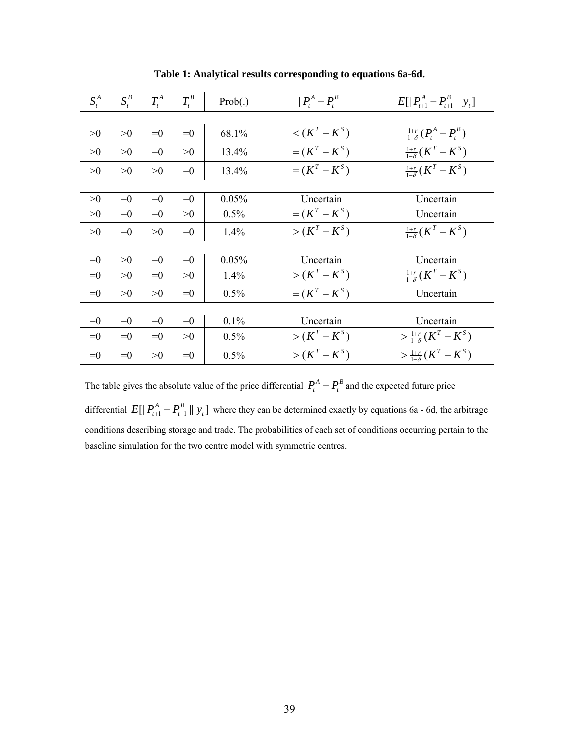| $S_t^A$ | $S_t^B$ | $T_t^A$ | $T_t^B$ | Prob(.) | $ P_t^A-P_t^B $  | $E[ P_{t+1}^A - P_{t+1}^B ]y_t]$    |  |  |
|---------|---------|---------|---------|---------|------------------|-------------------------------------|--|--|
|         |         |         |         |         |                  |                                     |  |  |
| >0      | >0      | $=0$    | $=0$    | 68.1%   | $\lt(K^T-K^S)$   | $\frac{1+r}{1-\delta}(P_t^A-P_t^B)$ |  |  |
| >0      | >0      | $=0$    | >0      | 13.4%   | $=(K^T-K^S)$     | $\frac{1+r}{1-\delta}(K^T-K^S)$     |  |  |
| >0      | >0      | >0      | $=0$    | 13.4%   | $=(K^T-K^S)$     | $\frac{1+r}{1-\delta}(K^T-K^S)$     |  |  |
|         |         |         |         |         |                  |                                     |  |  |
| >0      | $=0$    | $=0$    | $=0$    | 0.05%   | Uncertain        | Uncertain                           |  |  |
| >0      | $=0$    | $=0$    | >0      | 0.5%    | $=(K^{T}-K^{S})$ | Uncertain                           |  |  |
| >0      | $=0$    | >0      | $=0$    | 1.4%    | $> (K^T - K^S)$  | $\frac{1+r}{1-\delta}(K^T - K^S)$   |  |  |
|         |         |         |         |         |                  |                                     |  |  |
| $=0$    | >0      | $=0$    | $=0$    | 0.05%   | Uncertain        | Uncertain                           |  |  |
| $=0$    | >0      | $=0$    | >0      | 1.4%    | $> (K^T - K^S)$  | $\frac{1+r}{1-\delta}(K^T-K^S)$     |  |  |
| $=0$    | >0      | >0      | $=0$    | 0.5%    | $=(K^T-K^S)$     | Uncertain                           |  |  |
|         |         |         |         |         |                  |                                     |  |  |
| $=0$    | $=0$    | $=0$    | $=0$    | 0.1%    | Uncertain        | Uncertain                           |  |  |
| $=0$    | $=0$    | $=0$    | >0      | 0.5%    | $> (K^T - K^S)$  | $> \frac{1+r}{1-\delta}(K^T - K^S)$ |  |  |
| $=0$    | $=0$    | >0      | $=0$    | 0.5%    | $> (K^T - K^S)$  | $>\frac{1+r}{1-s}(K^T-K^S)$         |  |  |

**Table 1: Analytical results corresponding to equations 6a-6d.** 

The table gives the absolute value of the price differential  $P_t^A - P_t^B$  and the expected future price differential  $E[|P_{t+1}^A - P_{t+1}^B|] y_t]$  where they can be determined exactly by equations 6a - 6d, the arbitrage conditions describing storage and trade. The probabilities of each set of conditions occurring pertain to the baseline simulation for the two centre model with symmetric centres.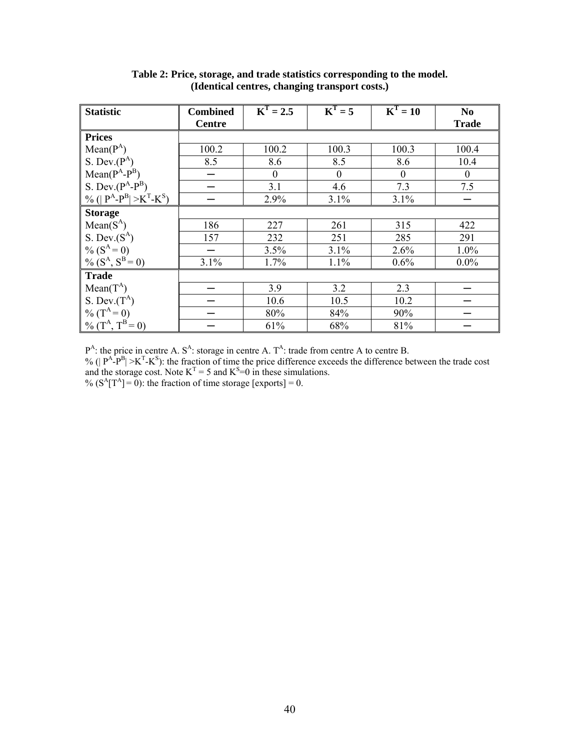| <b>Statistic</b>                   | <b>Combined</b> | $\overline{K}^T = 2.5$ | $KT = 5$         | $K^T = 10$       | N <sub>0</sub> |
|------------------------------------|-----------------|------------------------|------------------|------------------|----------------|
|                                    | <b>Centre</b>   |                        |                  |                  | <b>Trade</b>   |
| <b>Prices</b>                      |                 |                        |                  |                  |                |
| $Mean(P^A)$                        | 100.2           | 100.2                  | 100.3            | 100.3            | 100.4          |
| S. Dev. $(P^A)$                    | 8.5             | 8.6                    | 8.5              | 8.6              | 10.4           |
| $Mean(P^A-P^B)$                    |                 | $\theta$               | $\boldsymbol{0}$ | $\boldsymbol{0}$ | $\mathbf{0}$   |
| S. Dev. $(P^A-P^B)$                |                 | 3.1                    | 4.6              | 7.3              | 7.5            |
| % (  $P^A - P^B$   > $K^T - K^S$ ) |                 | 2.9%                   | 3.1%             | 3.1%             |                |
| <b>Storage</b>                     |                 |                        |                  |                  |                |
| $Mean(S^A)$                        | 186             | 227                    | 261              | 315              | 422            |
| S. Dev. $(S^A)$                    | 157             | 232                    | 251              | 285              | 291            |
| % $(S^A = 0)$                      |                 | 3.5%                   | 3.1%             | 2.6%             | 1.0%           |
| % $(S^A, S^B = 0)$                 | 3.1%            | 1.7%                   | 1.1%             | 0.6%             | $0.0\%$        |
| <b>Trade</b>                       |                 |                        |                  |                  |                |
| $Mean(T^A)$                        |                 | 3.9                    | 3.2              | 2.3              |                |
| S. Dev. $(T^A)$                    |                 | 10.6                   | 10.5             | 10.2             |                |
| % $(T^A = 0)$                      |                 | 80%                    | 84%              | 90%              |                |
| % $(T^A, T^{B} = 0)$               |                 | 61%                    | 68%              | 81%              |                |

**Table 2: Price, storage, and trade statistics corresponding to the model. (Identical centres, changing transport costs.)** 

 $P^{A}$ : the price in centre A. S<sup>A</sup>: storage in centre A. T<sup>A</sup>: trade from centre A to centre B.

% ( $|P^A-P^B|>K^T-K^S$ ): the fraction of time the price difference exceeds the difference between the trade cost and the storage cost. Note  $K<sup>T</sup> = 5$  and  $K<sup>S</sup>=0$  in these simulations.

%  $(S^A[T^A] = 0)$ : the fraction of time storage [exports] = 0.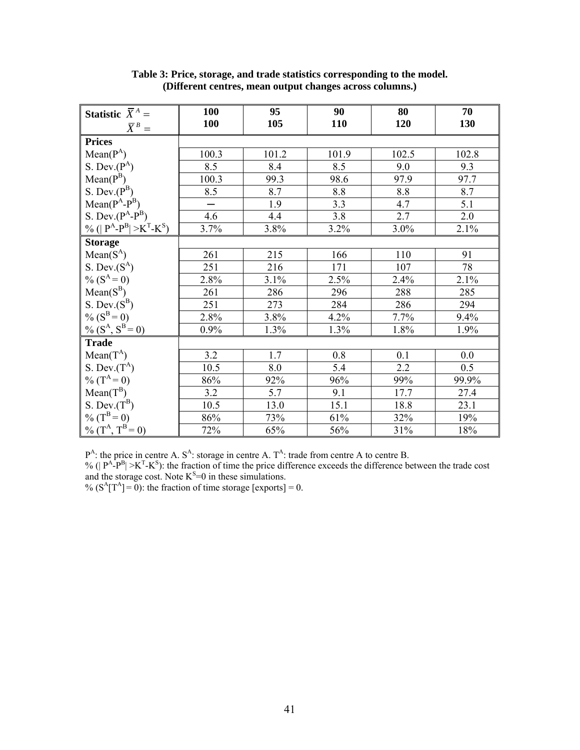| <b>Statistic</b> $\overline{X}^A$ =                                                 | <b>100</b> | 95    | 90         | 80    | 70    |
|-------------------------------------------------------------------------------------|------------|-------|------------|-------|-------|
| $\bar{X}^B =$                                                                       | 100        | 105   | <b>110</b> | 120   | 130   |
| <b>Prices</b>                                                                       |            |       |            |       |       |
| $Mean(P^A)$                                                                         | 100.3      | 101.2 | 101.9      | 102.5 | 102.8 |
| S. Dev. $(P^A)$                                                                     | 8.5        | 8.4   | 8.5        | 9.0   | 9.3   |
| $Mean(P^B)$                                                                         | 100.3      | 99.3  | 98.6       | 97.9  | 97.7  |
| S. Dev. $(P^B)$                                                                     | 8.5        | 8.7   | 8.8        | 8.8   | 8.7   |
| $Mean(P^A-P^B)$                                                                     |            | 1.9   | 3.3        | 4.7   | 5.1   |
| S. Dev. $(P^A-P^B)$                                                                 | 4.6        | 4.4   | 3.8        | 2.7   | 2.0   |
| $\frac{9}{6}$ (  P <sup>A</sup> -P <sup>B</sup>   >K <sup>T</sup> -K <sup>S</sup> ) | 3.7%       | 3.8%  | 3.2%       | 3.0%  | 2.1%  |
| <b>Storage</b>                                                                      |            |       |            |       |       |
| $Mean(S^A)$                                                                         | 261        | 215   | 166        | 110   | 91    |
| S. Dev. $(S^A)$                                                                     | 251        | 216   | 171        | 107   | 78    |
| $\%$ (S <sup>A</sup> = 0)                                                           | 2.8%       | 3.1%  | 2.5%       | 2.4%  | 2.1%  |
| $Mean(S^B)$                                                                         | 261        | 286   | 296        | 288   | 285   |
| S. Dev. $(S^B)$                                                                     | 251        | 273   | 284        | 286   | 294   |
| % $(S^B = 0)$                                                                       | 2.8%       | 3.8%  | 4.2%       | 7.7%  | 9.4%  |
| $\frac{6}{96}$ (S <sup>A</sup> , S <sup>B</sup> = 0)                                | 0.9%       | 1.3%  | 1.3%       | 1.8%  | 1.9%  |
| <b>Trade</b>                                                                        |            |       |            |       |       |
| $Mean(T^A)$                                                                         | 3.2        | 1.7   | 0.8        | 0.1   | 0.0   |
| S. Dev. $(T^A)$                                                                     | 10.5       | 8.0   | 5.4        | 2.2   | 0.5   |
| % $(T^A = 0)$                                                                       | 86%        | 92%   | 96%        | 99%   | 99.9% |
| $Mean(T^B)$                                                                         | 3.2        | 5.7   | 9.1        | 17.7  | 27.4  |
| S. Dev. $(T^B)$                                                                     | 10.5       | 13.0  | 15.1       | 18.8  | 23.1  |
| $\%$ (T <sup>B</sup> = 0)                                                           | 86%        | 73%   | 61%        | 32%   | 19%   |
| % $(TA, TB = 0)$                                                                    | 72%        | 65%   | $56\%$     | 31%   | 18%   |

**Table 3: Price, storage, and trade statistics corresponding to the model. (Different centres, mean output changes across columns.)** 

 $P^{A}$ : the price in centre A. S<sup>A</sup>: storage in centre A. T<sup>A</sup>: trade from centre A to centre B.

% ( $|P^A-P^B|>K^T-K^S$ ): the fraction of time the price difference exceeds the difference between the trade cost and the storage cost. Note  $K^S=0$  in these simulations.

%  $(S^A[T^A] = 0)$ : the fraction of time storage [exports] = 0.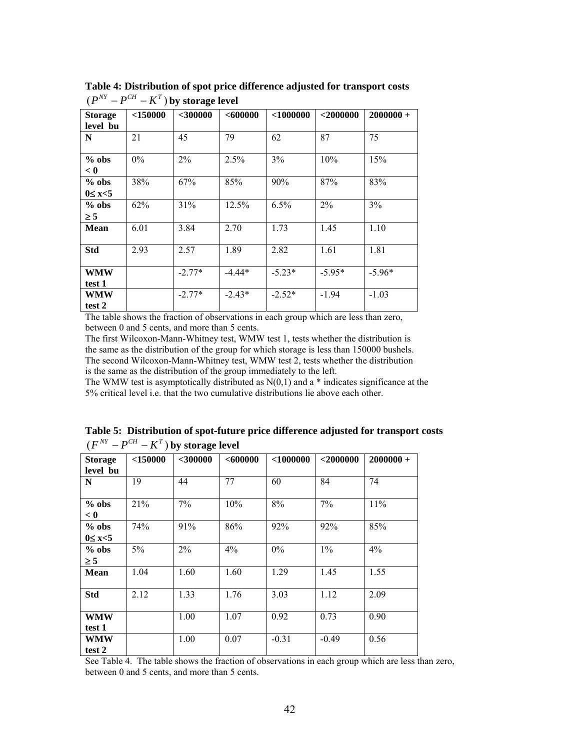| <b>Storage</b><br>level bu | $<$ 150000 | $<$ 300000 | <600000  | $<$ 1000000 | $<$ 2000000 | $2000000+$ |
|----------------------------|------------|------------|----------|-------------|-------------|------------|
| N                          | 21         | 45         | 79       | 62          | 87          | 75         |
| $%$ obs<br>< 0             | $0\%$      | 2%         | 2.5%     | 3%          | 10%         | 15%        |
| $%$ obs<br>$0 \leq x < 5$  | 38%        | 67%        | 85%      | 90%         | 87%         | 83%        |
| $%$ obs<br>$\geq$ 5        | 62%        | 31%        | 12.5%    | 6.5%        | 2%          | 3%         |
| <b>Mean</b>                | 6.01       | 3.84       | 2.70     | 1.73        | 1.45        | 1.10       |
| <b>Std</b>                 | 2.93       | 2.57       | 1.89     | 2.82        | 1.61        | 1.81       |
| <b>WMW</b><br>test 1       |            | $-2.77*$   | $-4.44*$ | $-5.23*$    | $-5.95*$    | $-5.96*$   |
| <b>WMW</b><br>test 2       |            | $-2.77*$   | $-2.43*$ | $-2.52*$    | $-1.94$     | $-1.03$    |

**Table 4: Distribution of spot price difference adjusted for transport costs**   $(P^{NT} - P^{CH} - K^T)$  by storage level

The table shows the fraction of observations in each group which are less than zero, between 0 and 5 cents, and more than 5 cents.

The first Wilcoxon-Mann-Whitney test, WMW test 1, tests whether the distribution is the same as the distribution of the group for which storage is less than 150000 bushels. The second Wilcoxon-Mann-Whitney test, WMW test 2, tests whether the distribution is the same as the distribution of the group immediately to the left.

The WMW test is asymptotically distributed as  $N(0,1)$  and a  $*$  indicates significance at the 5% critical level i.e. that the two cumulative distributions lie above each other.

| <b>Storage</b><br>level bu | $<$ 150000 | $<$ 300000 | <600000 | $<$ 1000000 | $<$ 2000000 | $2000000+$ |
|----------------------------|------------|------------|---------|-------------|-------------|------------|
| N                          | 19         | 44         | 77      | 60          | 84          | 74         |
| $%$ obs<br>< 0             | 21%        | 7%         | 10%     | 8%          | 7%          | 11%        |
| $%$ obs<br>$0 \leq x < 5$  | 74%        | 91%        | 86%     | 92%         | 92%         | 85%        |
| $%$ obs<br>$\geq$ 5        | $5\%$      | 2%         | 4%      | $0\%$       | $1\%$       | 4%         |
| <b>Mean</b>                | 1.04       | 1.60       | 1.60    | 1.29        | 1.45        | 1.55       |
| <b>Std</b>                 | 2.12       | 1.33       | 1.76    | 3.03        | 1.12        | 2.09       |
| <b>WMW</b><br>test 1       |            | 1.00       | 1.07    | 0.92        | 0.73        | 0.90       |
| WMW<br>test 2              |            | 1.00       | 0.07    | $-0.31$     | $-0.49$     | 0.56       |

**Table 5: Distribution of spot-future price difference adjusted for transport costs**   $(F^{NT} - P^{CH} - K^T)$  by storage level

See Table 4. The table shows the fraction of observations in each group which are less than zero, between 0 and 5 cents, and more than 5 cents.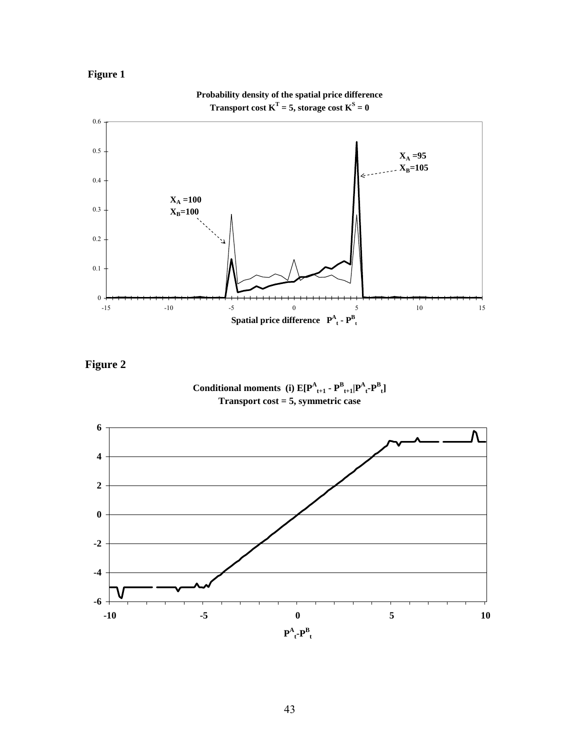





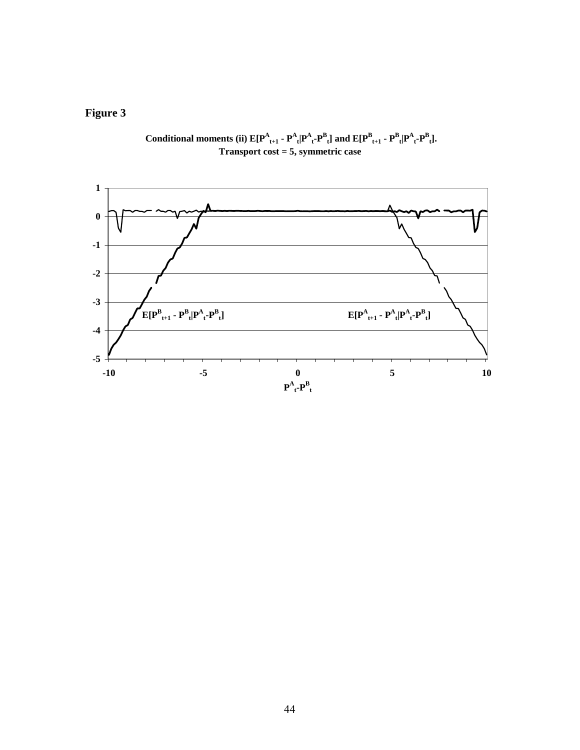

Conditional moments (ii)  $E[P^A_{t+1} - P^A_{t} | P^A_{t} - P^B_{t}]$  and  $E[P^B_{t+1} - P^B_{t} | P^A_{t} - P^B_{t}]$ . **Transport cost = 5, symmetric case**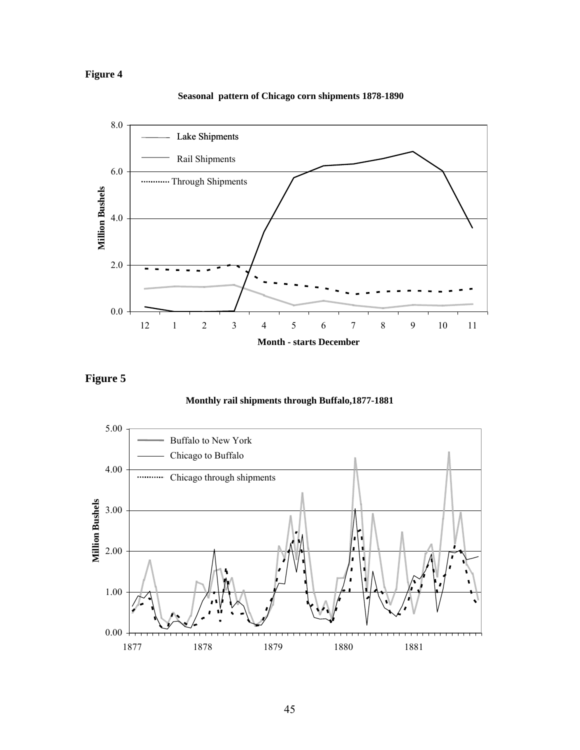

### **Seasonal pattern of Chicago corn shipments 1878-1890**



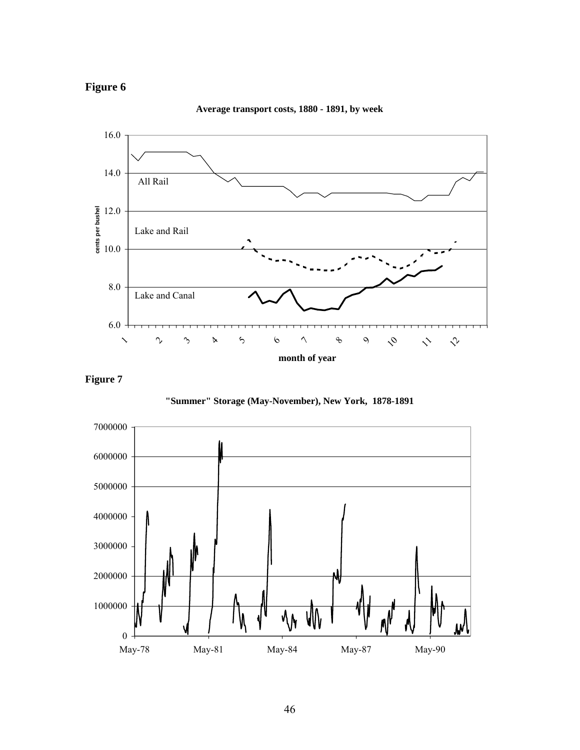

**Average transport costs, 1880 - 1891, by week**

**Figure 7** 



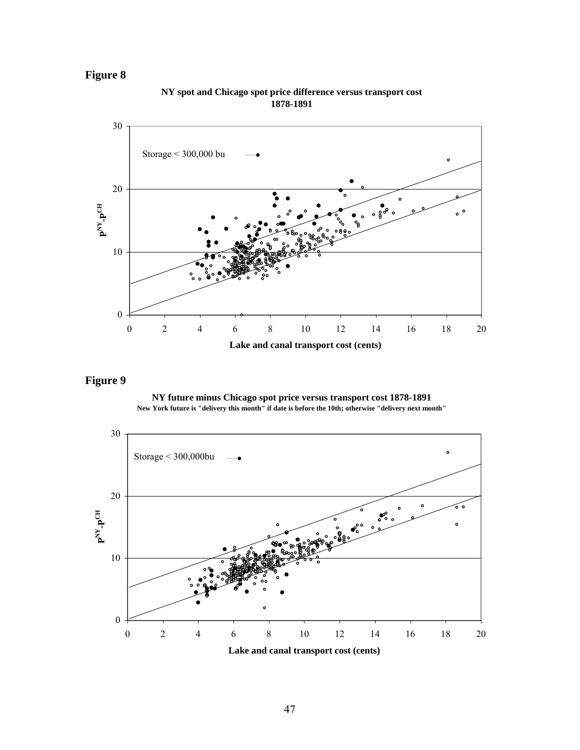

**NY spot and Chicago spot price difference versus transport cost 1878-1891**

**NY future minus Chicago spot price versus transport cost 1878-1891 New York future is "delivery this month" if date is before the 10th; otherwise "delivery next month"** 

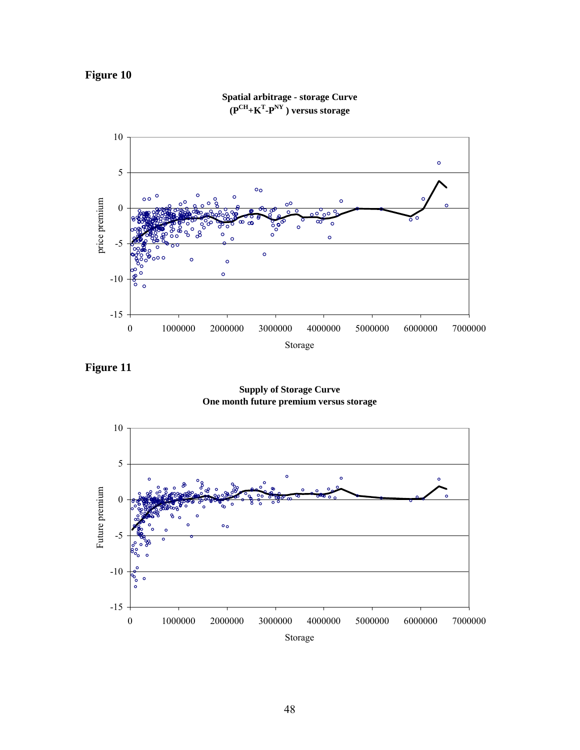

**Spatial arbitrage - storage Curve (PCH+KT -PNY ) versus storage** 

**Figure 11** 

**Supply of Storage Curve One month future premium versus storage** 

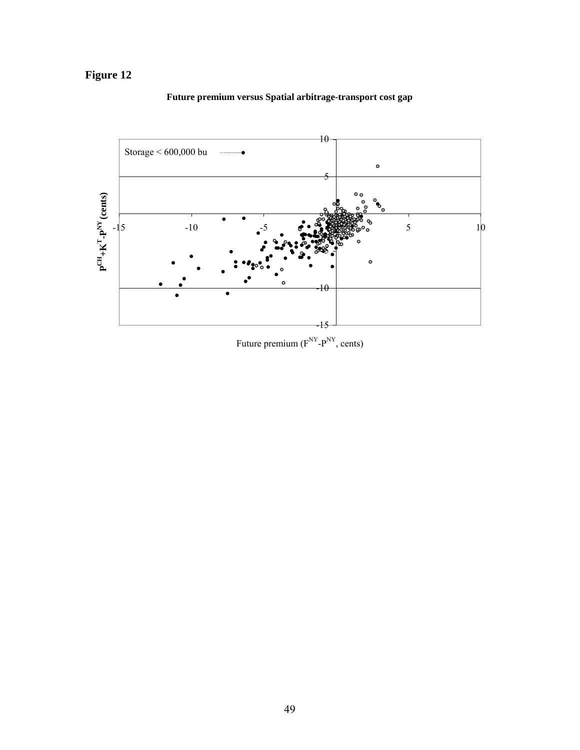

### **Future premium versus Spatial arbitrage-transport cost gap**

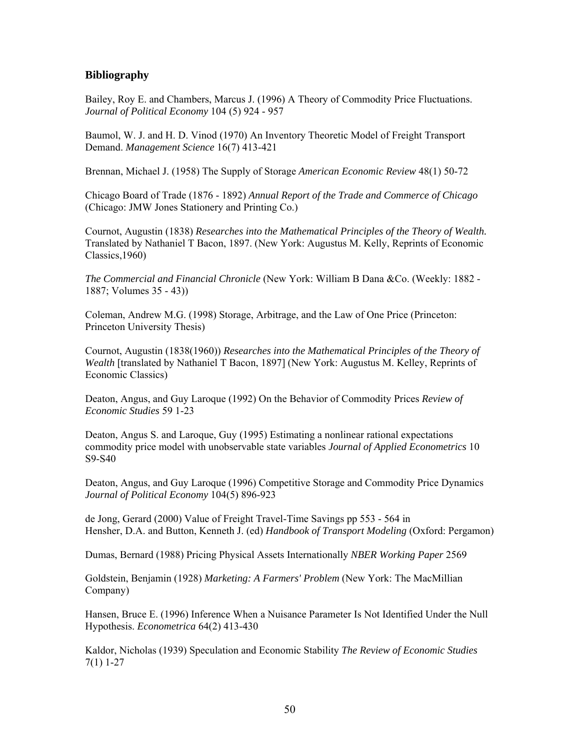### **Bibliography**

Bailey, Roy E. and Chambers, Marcus J. (1996) A Theory of Commodity Price Fluctuations. *Journal of Political Economy* 104 (5) 924 - 957

Baumol, W. J. and H. D. Vinod (1970) An Inventory Theoretic Model of Freight Transport Demand. *Management Science* 16(7) 413-421

Brennan, Michael J. (1958) The Supply of Storage *American Economic Review* 48(1) 50-72

Chicago Board of Trade (1876 - 1892) *Annual Report of the Trade and Commerce of Chicago*  (Chicago: JMW Jones Stationery and Printing Co.)

Cournot, Augustin (1838) *Researches into the Mathematical Principles of the Theory of Wealth.* Translated by Nathaniel T Bacon, 1897. (New York: Augustus M. Kelly, Reprints of Economic Classics,1960)

*The Commercial and Financial Chronicle* (New York: William B Dana &Co. (Weekly: 1882 - 1887; Volumes 35 - 43))

Coleman, Andrew M.G. (1998) Storage, Arbitrage, and the Law of One Price (Princeton: Princeton University Thesis)

Cournot, Augustin (1838(1960)) *Researches into the Mathematical Principles of the Theory of Wealth* [translated by Nathaniel T Bacon, 1897] (New York: Augustus M. Kelley, Reprints of Economic Classics)

Deaton, Angus, and Guy Laroque (1992) On the Behavior of Commodity Prices *Review of Economic Studies* 59 1-23

Deaton, Angus S. and Laroque, Guy (1995) Estimating a nonlinear rational expectations commodity price model with unobservable state variables *Journal of Applied Econometrics* 10 S9-S40

Deaton, Angus, and Guy Laroque (1996) Competitive Storage and Commodity Price Dynamics *Journal of Political Economy* 104(5) 896-923

de Jong, Gerard (2000) Value of Freight Travel-Time Savings pp 553 - 564 in Hensher, D.A. and Button, Kenneth J. (ed) *Handbook of Transport Modeling* (Oxford: Pergamon)

Dumas, Bernard (1988) Pricing Physical Assets Internationally *NBER Working Paper* 2569

Goldstein, Benjamin (1928) *Marketing: A Farmers' Problem* (New York: The MacMillian Company)

Hansen, Bruce E. (1996) Inference When a Nuisance Parameter Is Not Identified Under the Null Hypothesis. *Econometrica* 64(2) 413-430

Kaldor, Nicholas (1939) Speculation and Economic Stability *The Review of Economic Studies*  7(1) 1-27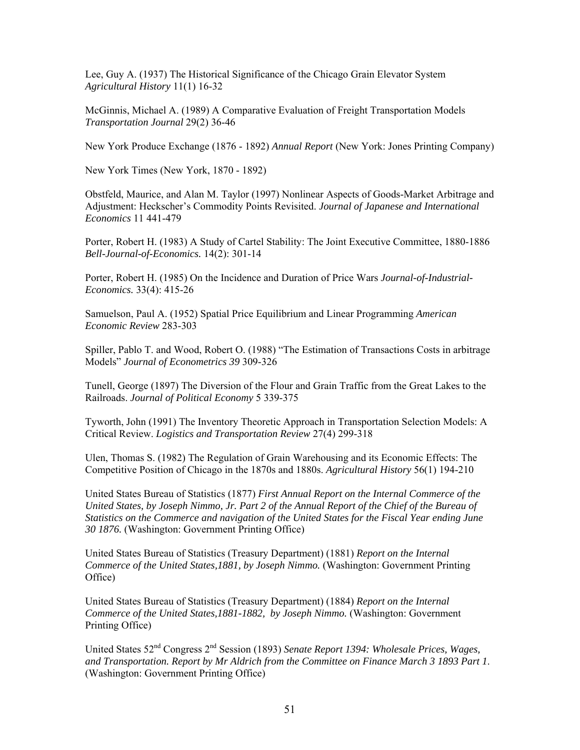Lee, Guy A. (1937) The Historical Significance of the Chicago Grain Elevator System *Agricultural History* 11(1) 16-32

McGinnis, Michael A. (1989) A Comparative Evaluation of Freight Transportation Models *Transportation Journal* 29(2) 36-46

New York Produce Exchange (1876 - 1892) *Annual Report* (New York: Jones Printing Company)

New York Times (New York, 1870 - 1892)

Obstfeld, Maurice, and Alan M. Taylor (1997) Nonlinear Aspects of Goods-Market Arbitrage and Adjustment: Heckscher's Commodity Points Revisited. *Journal of Japanese and International Economics* 11 441-479

Porter, Robert H. (1983) A Study of Cartel Stability: The Joint Executive Committee, 1880-1886 *Bell-Journal-of-Economics.* 14(2): 301-14

Porter, Robert H. (1985) On the Incidence and Duration of Price Wars *Journal-of-Industrial-Economics.* 33(4): 415-26

Samuelson, Paul A. (1952) Spatial Price Equilibrium and Linear Programming *American Economic Review* 283-303

Spiller, Pablo T. and Wood, Robert O. (1988) "The Estimation of Transactions Costs in arbitrage Models" *Journal of Econometrics 39* 309-326

Tunell, George (1897) The Diversion of the Flour and Grain Traffic from the Great Lakes to the Railroads. *Journal of Political Economy* 5 339-375

Tyworth, John (1991) The Inventory Theoretic Approach in Transportation Selection Models: A Critical Review. *Logistics and Transportation Review* 27(4) 299-318

Ulen, Thomas S. (1982) The Regulation of Grain Warehousing and its Economic Effects: The Competitive Position of Chicago in the 1870s and 1880s. *Agricultural History* 56(1) 194-210

United States Bureau of Statistics (1877) *First Annual Report on the Internal Commerce of the United States, by Joseph Nimmo, Jr. Part 2 of the Annual Report of the Chief of the Bureau of Statistics on the Commerce and navigation of the United States for the Fiscal Year ending June 30 1876.* (Washington: Government Printing Office)

United States Bureau of Statistics (Treasury Department) (1881) *Report on the Internal Commerce of the United States,1881, by Joseph Nimmo.* (Washington: Government Printing Office)

United States Bureau of Statistics (Treasury Department) (1884) *Report on the Internal Commerce of the United States,1881-1882, by Joseph Nimmo.* (Washington: Government Printing Office)

United States 52nd Congress 2nd Session (1893) *Senate Report 1394: Wholesale Prices, Wages, and Transportation. Report by Mr Aldrich from the Committee on Finance March 3 1893 Part 1*. (Washington: Government Printing Office)